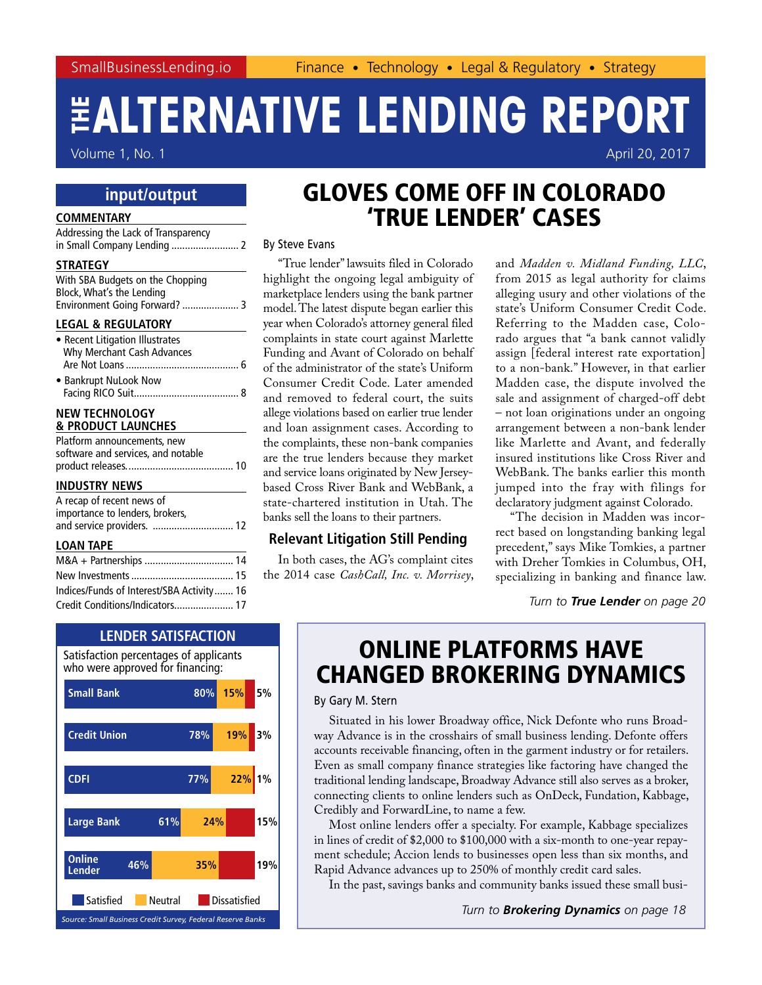Volume 1, No. 1 April 20, 2017

### **input/output**

#### **COMMENTARY**

| Addressing the Lack of Transparency<br>in Small Company Lending  2                                                                                            |
|---------------------------------------------------------------------------------------------------------------------------------------------------------------|
| <b>STRATEGY</b>                                                                                                                                               |
| With SBA Budgets on the Chopping<br>Block, What's the Lending<br>Environment Going Forward?  3                                                                |
| <b>LEGAL &amp; REGULATORY</b>                                                                                                                                 |
| • Recent Litigation Illustrates<br>Why Merchant Cash Advances                                                                                                 |
| • Bankrupt NuLook Now                                                                                                                                         |
| <b>NEW TECHNOLOGY</b><br><b>&amp; PRODUCT LAUNCHES</b>                                                                                                        |
| Platform announcements, new                                                                                                                                   |
| software and services, and notable                                                                                                                            |
|                                                                                                                                                               |
| <b>INDUSTRY NEWS</b><br>A recap of recent news of<br>importance to lenders, brokers,<br>and service providers.  12                                            |
| <b>LOAN TAPE</b><br>$\mathcal{L}(\mathcal{L}^{\mathcal{L}})$ and $\mathcal{L}^{\mathcal{L}}$ are the set of the set of the set of $\mathcal{L}^{\mathcal{L}}$ |
| M&A + Partnerships  14                                                                                                                                        |
|                                                                                                                                                               |
| Indicac/Funds of Interact/SRA Activity 16                                                                                                                     |

### [Indices/Funds of Interest/SBA Activity.......](#page-15-0) 16 [Credit Conditions/Indicators......................](#page-16-0) 17



### GLOVES COME OFF IN COLORADO 'TRUE LENDER' CASES

By Steve Evans

"True lender" lawsuits filed in Colorado highlight the ongoing legal ambiguity of marketplace lenders using the bank partner model. The latest dispute began earlier this year when Colorado's attorney general filed complaints in state court against Marlette Funding and Avant of Colorado on behalf of the administrator of the state's Uniform Consumer Credit Code. Later amended and removed to federal court, the suits allege violations based on earlier true lender and loan assignment cases. According to the complaints, these non-bank companies are the true lenders because they market and service loans originated by New Jerseybased Cross River Bank and WebBank, a state-chartered institution in Utah. The banks sell the loans to their partners.

#### **Relevant Litigation Still Pending**

In both cases, the AG's complaint cites the 2014 case *CashCall, Inc. v. Morrisey*, and *Madden v. Midland Funding, LLC*, from 2015 as legal authority for claims alleging usury and other violations of the state's Uniform Consumer Credit Code. Referring to the Madden case, Colorado argues that "a bank cannot validly assign [federal interest rate exportation] to a non-bank." However, in that earlier Madden case, the dispute involved the sale and assignment of charged-off debt – not loan originations under an ongoing arrangement between a non-bank lender like Marlette and Avant, and federally insured institutions like Cross River and WebBank. The banks earlier this month jumped into the fray with filings for declaratory judgment against Colorado.

"The decision in Madden was incorrect based on longstanding banking legal precedent," says Mike Tomkies, a partner with Dreher Tomkies in Columbus, OH, specializing in banking and finance law.

*Turn to [True Lender](#page-19-0) on page 20*

### ONLINE PLATFORMS HAVE CHANGED BROKERING DYNAMICS

By Gary M. Stern

Situated in his lower Broadway office, Nick Defonte who runs Broadway Advance is in the crosshairs of small business lending. Defonte offers accounts receivable financing, often in the garment industry or for retailers. Even as small company finance strategies like factoring have changed the traditional lending landscape, Broadway Advance still also serves as a broker, connecting clients to online lenders such as OnDeck, Fundation, Kabbage, Credibly and ForwardLine, to name a few.

Most online lenders offer a specialty. For example, Kabbage specializes in lines of credit of \$2,000 to \$100,000 with a six-month to one-year repayment schedule; Accion lends to businesses open less than six months, and Rapid Advance advances up to 250% of monthly credit card sales.

In the past, savings banks and community banks issued these small busi-

*Turn to [Brokering Dynamics](#page-17-0) on page 18*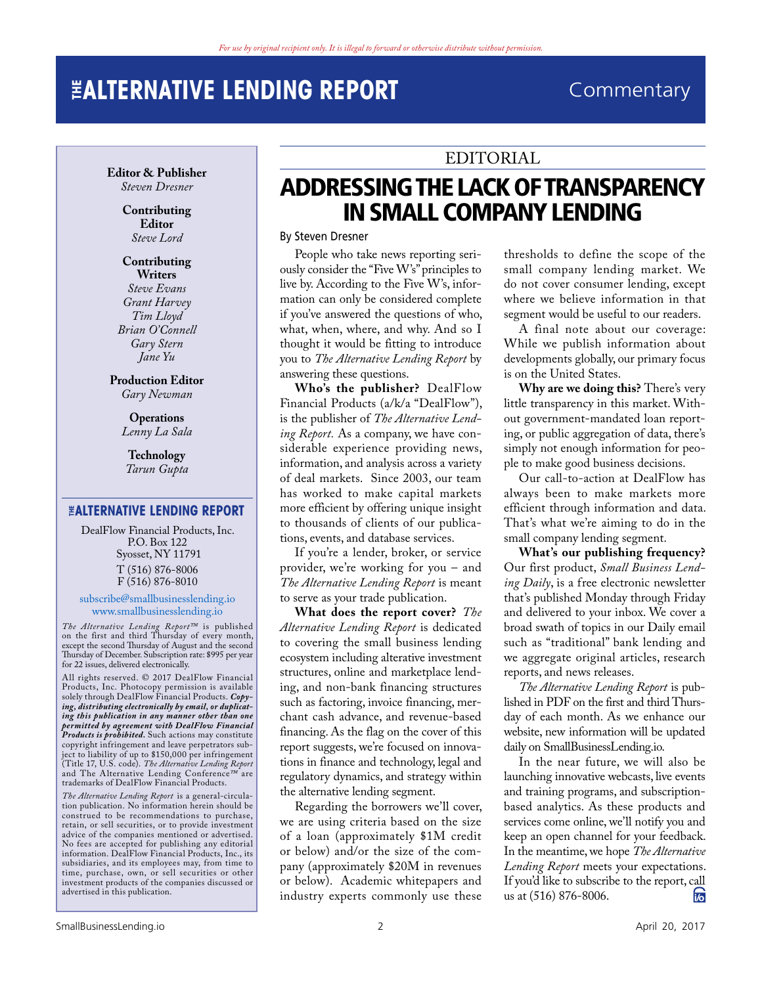### <span id="page-1-0"></span>**THE ENDING REPORT Commentary**

**Editor & Publisher** *Steven Dresner*

> **Contributing Editor** *Steve Lord*

**Contributing Writers** *Steve Evans Grant Harvey Tim Lloyd Brian O'Connell Gary Stern*

**Production Editor** *Gary Newman*

*Jane Yu*

**Operations** *Lenny La Sala*

**Technology** *Tarun Gupta*

#### **THE ALTERNATIVE LENDING REPORT**

DealFlow Financial Products, Inc. P.O. Box 122 Syosset, NY 11791 T (516) 876-8006 F (516) 876-8010

#### <subscribe@smallbusinesslending.io> <www.smallbusinesslending.io>

*The Alternative Lending Report™* is published on the first and third Thursday of every month, except the second Thursday of August and the second Thursday of December. Subscription rate: \$995 per year for 22 issues, delivered electronically.

All rights reserved. © 2017 DealFlow Financial Products, Inc. Photocopy permission is available solely through DealFlow Financial Products. *Copy-ing, distributing electronically by email, or duplicating this publication in any manner other than one permitted by agreement with DealFlow Financial Products is prohibited.* Such actions may constitute copyright infringement and leave perpetrators subject to liability of up to \$150,000 per infringement (Title 17, U.S. code). *The Alternative Lending Report*  and The Alternative Lending Conference*™* are trademarks of DealFlow Financial Products.

*The Alternative Lending Report* is a general-circula-tion publication. No information herein should be construed to be recommendations to purchase, retain, or sell securities, or to provide investment advice of the companies mentioned or advertised. No fees are accepted for publishing any editorial information. DealFlow Financial Products, Inc., its subsidiaries, and its employees may, from time to time, purchase, own, or sell securities or other investment products of the companies discussed or advertised in this publication.

### EDITORIAL

### ADDRESSING THE LACK OF TRANSPARENCY IN SMALL COMPANY LENDING

By Steven Dresner

People who take news reporting seriously consider the "Five W's" principles to live by. According to the Five W's, information can only be considered complete if you've answered the questions of who, what, when, where, and why. And so I thought it would be fitting to introduce you to *The Alternative Lending Report* by answering these questions.

**Who's the publisher?** DealFlow Financial Products (a/k/a "DealFlow"), is the publisher of *The Alternative Lending Report.* As a company, we have considerable experience providing news, information, and analysis across a variety of deal markets. Since 2003, our team has worked to make capital markets more efficient by offering unique insight to thousands of clients of our publications, events, and database services.

If you're a lender, broker, or service provider, we're working for you – and *The Alternative Lending Report* is meant to serve as your trade publication.

**What does the report cover?** *The Alternative Lending Report* is dedicated to covering the small business lending ecosystem including alterative investment structures, online and marketplace lending, and non-bank financing structures such as factoring, invoice financing, merchant cash advance, and revenue-based financing. As the flag on the cover of this report suggests, we're focused on innovations in finance and technology, legal and regulatory dynamics, and strategy within the alternative lending segment.

Regarding the borrowers we'll cover, we are using criteria based on the size of a loan (approximately \$1M credit or below) and/or the size of the company (approximately \$20M in revenues or below). Academic whitepapers and industry experts commonly use these

thresholds to define the scope of the small company lending market. We do not cover consumer lending, except where we believe information in that segment would be useful to our readers.

A final note about our coverage: While we publish information about developments globally, our primary focus is on the United States.

**Why are we doing this?** There's very little transparency in this market. Without government-mandated loan reporting, or public aggregation of data, there's simply not enough information for people to make good business decisions.

Our call-to-action at DealFlow has always been to make markets more efficient through information and data. That's what we're aiming to do in the small company lending segment.

**What's our publishing frequency?** Our first product, *Small Business Lending Daily*, is a free electronic newsletter that's published Monday through Friday and delivered to your inbox. We cover a broad swath of topics in our Daily email such as "traditional" bank lending and we aggregate original articles, research reports, and news releases.

*The Alternative Lending Report* is published in PDF on the first and third Thursday of each month. As we enhance our website, new information will be updated daily on SmallBusinessLending.io.

In the near future, we will also be launching innovative webcasts, live events and training programs, and subscriptionbased analytics. As these products and services come online, we'll notify you and keep an open channel for your feedback. In the meantime, we hope *The Alternative Lending Report* meets your expectations. If you'd like to subscribe to the report, call<br>us at  $(516) 876-8006$ . us at (516) 876-8006.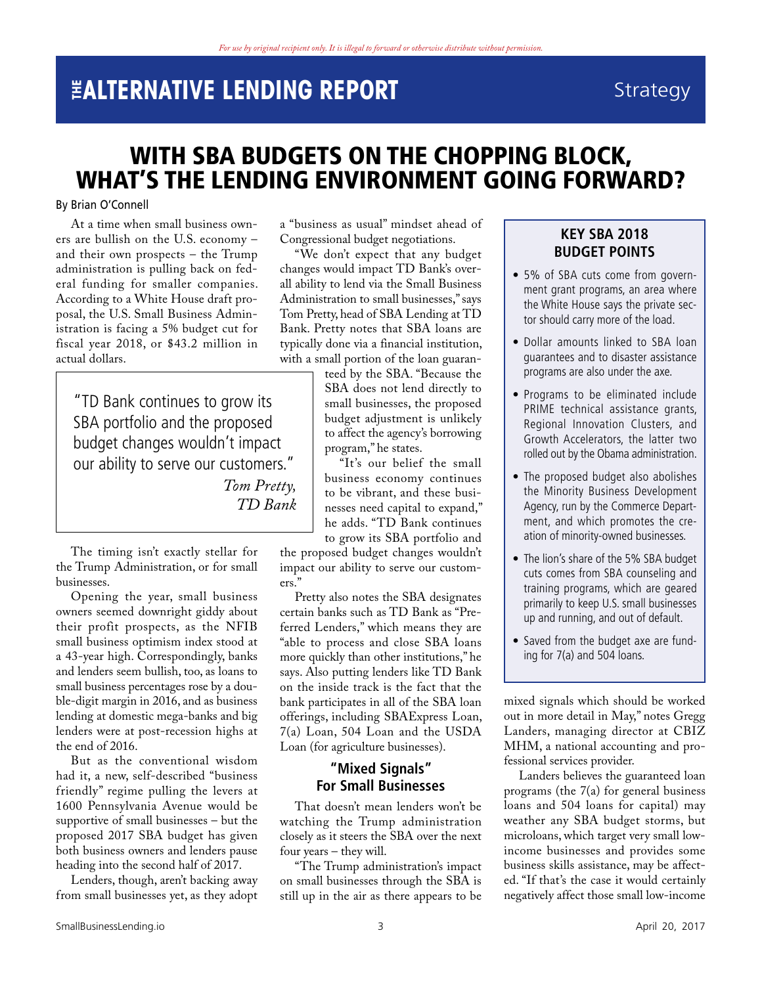## <span id="page-2-0"></span>**THE EXECUTE REPORT** Strategy

### WITH SBA BUDGETS ON THE CHOPPING BLOCK, WHAT'S THE LENDING ENVIRONMENT GOING FORWARD?

#### By Brian O'Connell

At a time when small business owners are bullish on the U.S. economy – and their own prospects – the Trump administration is pulling back on federal funding for smaller companies. According to a White House draft proposal, the U.S. Small Business Administration is facing a 5% budget cut for fiscal year 2018, or \$43.2 million in actual dollars.

"TD Bank continues to grow its SBA portfolio and the proposed budget changes wouldn't impact our ability to serve our customers." *Tom Pretty, TD Bank*

The timing isn't exactly stellar for the Trump Administration, or for small businesses.

Opening the year, small business owners seemed downright giddy about their profit prospects, as the NFIB small business optimism index stood at a 43-year high. Correspondingly, banks and lenders seem bullish, too, as loans to small business percentages rose by a double-digit margin in 2016, and as business lending at domestic mega-banks and big lenders were at post-recession highs at the end of 2016.

But as the conventional wisdom had it, a new, self-described "business friendly" regime pulling the levers at 1600 Pennsylvania Avenue would be supportive of small businesses – but the proposed 2017 SBA budget has given both business owners and lenders pause heading into the second half of 2017.

Lenders, though, aren't backing away from small businesses yet, as they adopt a "business as usual" mindset ahead of Congressional budget negotiations.

"We don't expect that any budget changes would impact TD Bank's overall ability to lend via the Small Business Administration to small businesses," says Tom Pretty, head of SBA Lending at TD Bank. Pretty notes that SBA loans are typically done via a financial institution, with a small portion of the loan guaran-

teed by the SBA. "Because the SBA does not lend directly to small businesses, the proposed budget adjustment is unlikely to affect the agency's borrowing program," he states.

"It's our belief the small business economy continues to be vibrant, and these businesses need capital to expand," he adds. "TD Bank continues to grow its SBA portfolio and

the proposed budget changes wouldn't impact our ability to serve our customers."

Pretty also notes the SBA designates certain banks such as TD Bank as "Preferred Lenders," which means they are "able to process and close SBA loans more quickly than other institutions," he says. Also putting lenders like TD Bank on the inside track is the fact that the bank participates in all of the SBA loan offerings, including SBAExpress Loan, 7(a) Loan, 504 Loan and the USDA Loan (for agriculture businesses).

### **"Mixed Signals" For Small Businesses**

That doesn't mean lenders won't be watching the Trump administration closely as it steers the SBA over the next four years – they will.

"The Trump administration's impact on small businesses through the SBA is still up in the air as there appears to be

### **KEY SBA 2018 BUDGET POINTS**

- 5% of SBA cuts come from government grant programs, an area where the White House says the private sector should carry more of the load.
- Dollar amounts linked to SBA loan guarantees and to disaster assistance programs are also under the axe.
- Programs to be eliminated include PRIME technical assistance grants, Regional Innovation Clusters, and Growth Accelerators, the latter two rolled out by the Obama administration.
- The proposed budget also abolishes the Minority Business Development Agency, run by the Commerce Department, and which promotes the creation of minority-owned businesses.
- The lion's share of the 5% SBA budget cuts comes from SBA counseling and training programs, which are geared primarily to keep U.S. small businesses up and running, and out of default.
- Saved from the budget axe are funding for 7(a) and 504 loans.

mixed signals which should be worked out in more detail in May," notes Gregg Landers, managing director at CBIZ MHM, a national accounting and professional services provider.

Landers believes the guaranteed loan programs (the 7(a) for general business loans and 504 loans for capital) may weather any SBA budget storms, but microloans, which target very small lowincome businesses and provides some business skills assistance, may be affected. "If that's the case it would certainly negatively affect those small low-income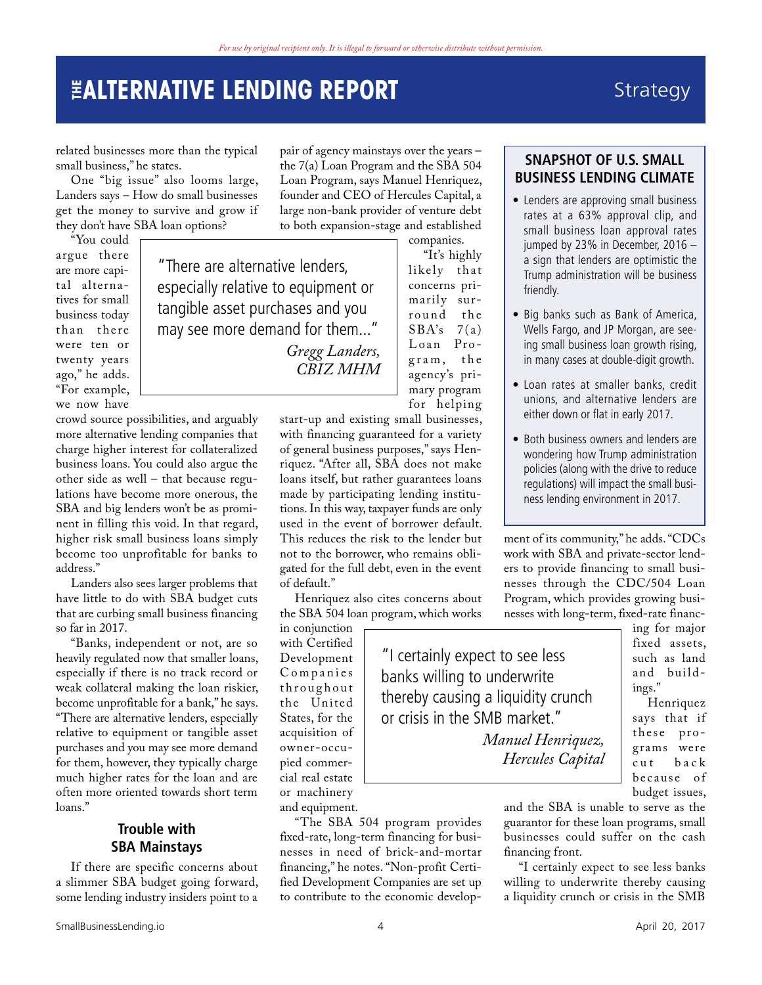### Strategy

related businesses more than the typical small business," he states.

One "big issue" also looms large, Landers says – How do small businesses get the money to survive and grow if they don't have SBA loan options?

"You could argue there are more capital alternatives for small business today than there were ten or twenty years ago," he adds. "For example, we now have

"There are alternative lenders, especially relative to equipment or tangible asset purchases and you may see more demand for them..."

> *Gregg Landers, CBIZ MHM*

crowd source possibilities, and arguably more alternative lending companies that charge higher interest for collateralized business loans. You could also argue the other side as well – that because regulations have become more onerous, the SBA and big lenders won't be as prominent in filling this void. In that regard, higher risk small business loans simply become too unprofitable for banks to address."

Landers also sees larger problems that have little to do with SBA budget cuts that are curbing small business financing so far in 2017.

"Banks, independent or not, are so heavily regulated now that smaller loans, especially if there is no track record or weak collateral making the loan riskier, become unprofitable for a bank," he says. "There are alternative lenders, especially relative to equipment or tangible asset purchases and you may see more demand for them, however, they typically charge much higher rates for the loan and are often more oriented towards short term loans."

#### **Trouble with SBA Mainstays**

If there are specific concerns about a slimmer SBA budget going forward, some lending industry insiders point to a pair of agency mainstays over the years – the 7(a) Loan Program and the SBA 504 Loan Program, says Manuel Henriquez, founder and CEO of Hercules Capital, a large non-bank provider of venture debt to both expansion-stage and established

companies. "It's highly likely that concerns primarily surround the  $SBA's$  7(a) Loan Program, the agency's primary program for helping

"I certainly expect to see less banks willing to underwrite

or crisis in the SMB market."

thereby causing a liquidity crunch

*Manuel Henriquez, Hercules Capital*

start-up and existing small businesses, with financing guaranteed for a variety of general business purposes," says Henriquez. "After all, SBA does not make loans itself, but rather guarantees loans made by participating lending institutions. In this way, taxpayer funds are only used in the event of borrower default. This reduces the risk to the lender but not to the borrower, who remains obligated for the full debt, even in the event of default."

Henriquez also cites concerns about the SBA 504 loan program, which works

in conjunction with Certified Development Companies th roughout the United States, for the acquisition of owner-occupied commercial real estate or machinery and equipment.

"The SBA 504 program provides fixed-rate, long-term financing for businesses in need of brick-and-mortar financing," he notes. "Non-profit Certified Development Companies are set up to contribute to the economic develop-

### **SNAPSHOT OF U.S. SMALL BUSINESS LENDING CLIMATE**

- Lenders are approving small business rates at a 63% approval clip, and small business loan approval rates jumped by 23% in December, 2016 – a sign that lenders are optimistic the Trump administration will be business friendly.
- Big banks such as Bank of America, Wells Fargo, and JP Morgan, are seeing small business loan growth rising, in many cases at double-digit growth.
- Loan rates at smaller banks, credit unions, and alternative lenders are either down or flat in early 2017.
- Both business owners and lenders are wondering how Trump administration policies (along with the drive to reduce regulations) will impact the small business lending environment in 2017.

ment of its community," he adds. "CDCs work with SBA and private-sector lenders to provide financing to small businesses through the CDC/504 Loan Program, which provides growing businesses with long-term, fixed-rate financ-

ing for major fixed assets, such as land and buildings."

Henriquez says that if these pro grams were  $\mathbf b$  a c k bec ause of budget issues,

and the SBA is unable to serve as the guarantor for these loan programs, small businesses could suffer on the cash financing front.

"I certainly expect to see less banks willing to underwrite thereby causing a liquidity crunch or crisis in the SMB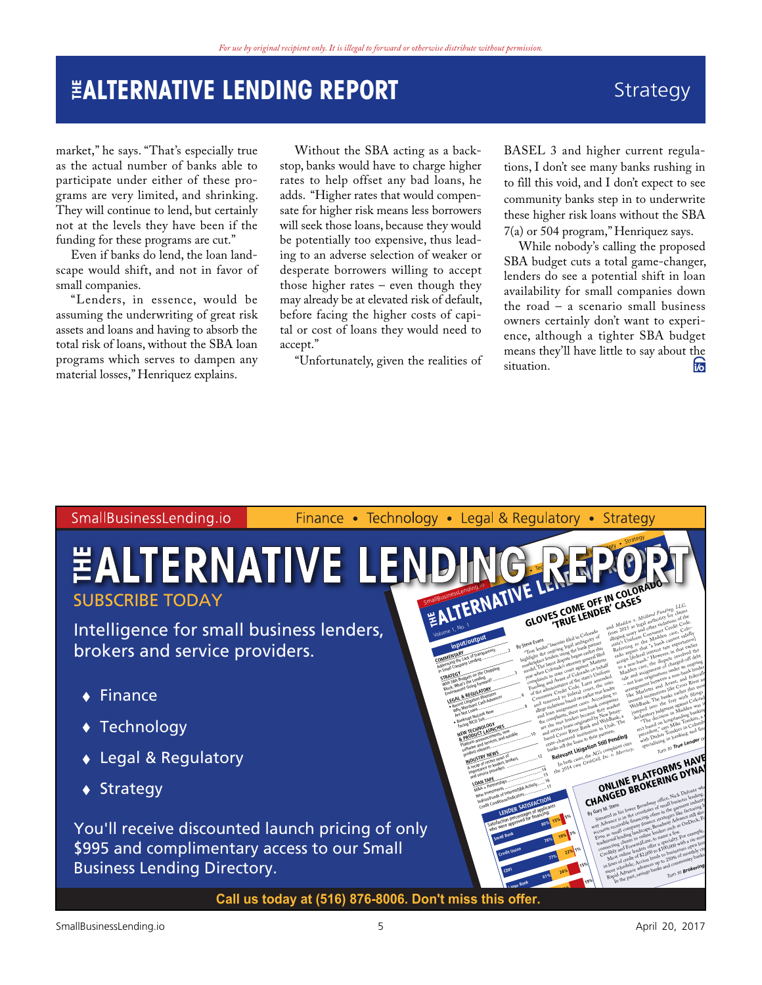### Strategy

market," he says. "That's especially true as the actual number of banks able to participate under either of these programs are very limited, and shrinking. They will continue to lend, but certainly not at the levels they have been if the funding for these programs are cut."

Even if banks do lend, the loan landscape would shift, and not in favor of small companies.

"Lenders, in essence, would be assuming the underwriting of great risk assets and loans and having to absorb the total risk of loans, without the SBA loan programs which serves to dampen any material losses," Henriquez explains.

Without the SBA acting as a backstop, banks would have to charge higher rates to help offset any bad loans, he adds. "Higher rates that would compensate for higher risk means less borrowers will seek those loans, because they would be potentially too expensive, thus leading to an adverse selection of weaker or desperate borrowers willing to accept those higher rates – even though they may already be at elevated risk of default, before facing the higher costs of capital or cost of loans they would need to accept."

"Unfortunately, given the realities of

BASEL 3 and higher current regulations, I don't see many banks rushing in to fill this void, and I don't expect to see community banks step in to underwrite these higher risk loans without the SBA 7(a) or 504 program," Henriquez says.

While nobody's calling the proposed SBA budget cuts a total game-changer, lenders do see a potential shift in loan availability for small companies down the road – a scenario small business owners certainly don't want to experience, although a tighter SBA budget means they'll have little to say about the situation. situation.

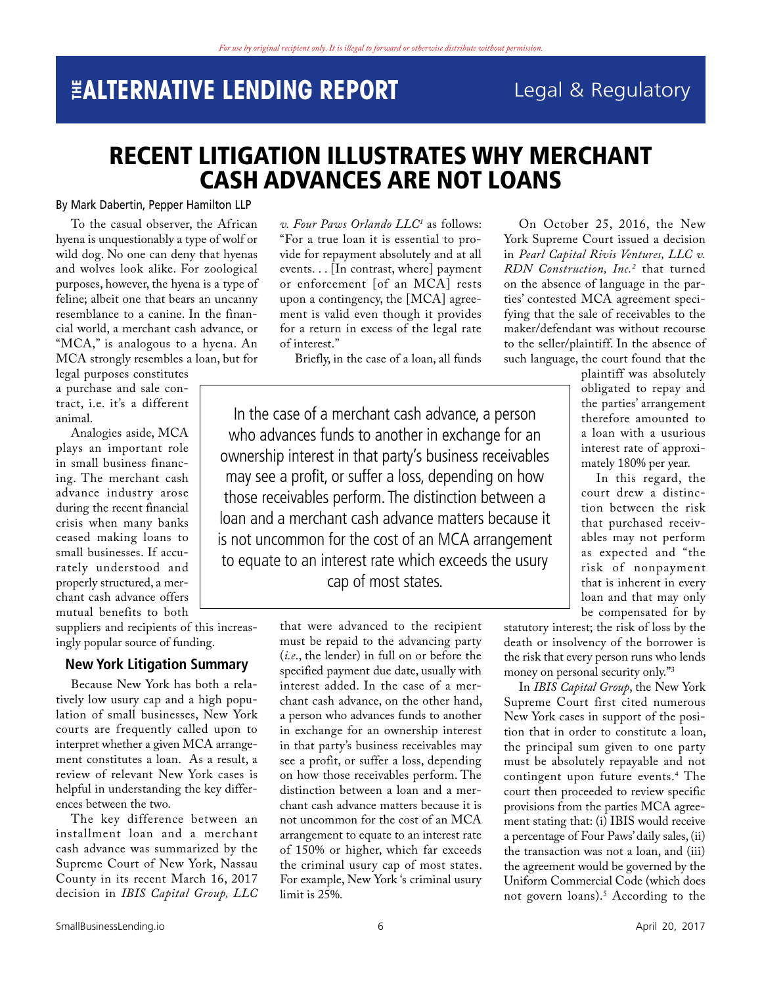### Legal & Regulatory

### <span id="page-5-0"></span>RECENT LITIGATION ILLUSTRATES WHY MERCHANT CASH ADVANCES ARE NOT LOANS

#### By Mark Dabertin, Pepper Hamilton LLP

To the casual observer, the African hyena is unquestionably a type of wolf or wild dog. No one can deny that hyenas and wolves look alike. For zoological purposes, however, the hyena is a type of feline; albeit one that bears an uncanny resemblance to a canine. In the financial world, a merchant cash advance, or "MCA," is analogous to a hyena. An MCA strongly resembles a loan, but for

legal purposes constitutes a purchase and sale contract, i.e. it's a different animal.

Analogies aside, MCA plays an important role in small business financing. The merchant cash advance industry arose during the recent financial crisis when many banks ceased making loans to small businesses. If accurately understood and properly structured, a merchant cash advance offers mutual benefits to both

suppliers and recipients of this increasingly popular source of funding.

#### **New York Litigation Summary**

Because New York has both a relatively low usury cap and a high population of small businesses, New York courts are frequently called upon to interpret whether a given MCA arrangement constitutes a loan. As a result, a review of relevant New York cases is helpful in understanding the key differences between the two.

The key difference between an installment loan and a merchant cash advance was summarized by the Supreme Court of New York, Nassau County in its recent March 16, 2017 decision in *IBIS Capital Group, LLC* 

*v. Four Paws Orlando LLC[1](#page-6-0)* as follows: "For a true loan it is essential to provide for repayment absolutely and at all events. . . [In contrast, where] payment or enforcement [of an MCA] rests upon a contingency, the [MCA] agreement is valid even though it provides for a return in excess of the legal rate of interest."

Briefly, in the case of a loan, all funds

In the case of a merchant cash advance, a person who advances funds to another in exchange for an ownership interest in that party's business receivables may see a profit, or suffer a loss, depending on how those receivables perform. The distinction between a loan and a merchant cash advance matters because it is not uncommon for the cost of an MCA arrangement to equate to an interest rate which exceeds the usury cap of most states.

> that were advanced to the recipient must be repaid to the advancing party (*i.e*., the lender) in full on or before the specified payment due date, usually with interest added. In the case of a merchant cash advance, on the other hand, a person who advances funds to another in exchange for an ownership interest in that party's business receivables may see a profit, or suffer a loss, depending on how those receivables perform. The distinction between a loan and a merchant cash advance matters because it is not uncommon for the cost of an MCA arrangement to equate to an interest rate of 150% or higher, which far exceeds the criminal usury cap of most states. For example, New York 's criminal usury limit is 25%.

On October 25, 2016, the New York Supreme Court issued a decision in *Pearl Capital Rivis Ventures, LLC v. RDN Construction, Inc.[2](#page-6-1)* that turned on the absence of language in the parties' contested MCA agreement specifying that the sale of receivables to the maker/defendant was without recourse to the seller/plaintiff. In the absence of such language, the court found that the

plaintiff was absolutely obligated to repay and the parties' arrangement therefore amounted to a loan with a usurious interest rate of approximately 180% per year.

In this regard, the court drew a distinction between the risk that purchased receivables may not perform as expected and "the risk of nonpayment that is inherent in every loan and that may only be compensated for by

statutory interest; the risk of loss by the death or insolvency of the borrower is the risk that every person runs who lends money on personal security only.["3](#page-6-2)

In *IBIS Capital Group*, the New York Supreme Court first cited numerous New York cases in support of the position that in order to constitute a loan, the principal sum given to one party must be absolutely repayable and not contingent upon future events[.4](#page-6-3) The court then proceeded to review specific provisions from the parties MCA agreement stating that: (i) IBIS would receive a percentage of Four Paws' daily sales, (ii) the transaction was not a loan, and (iii) the agreement would be governed by the Uniform Commercial Code (which does not govern loans).[5](#page-6-4) According to the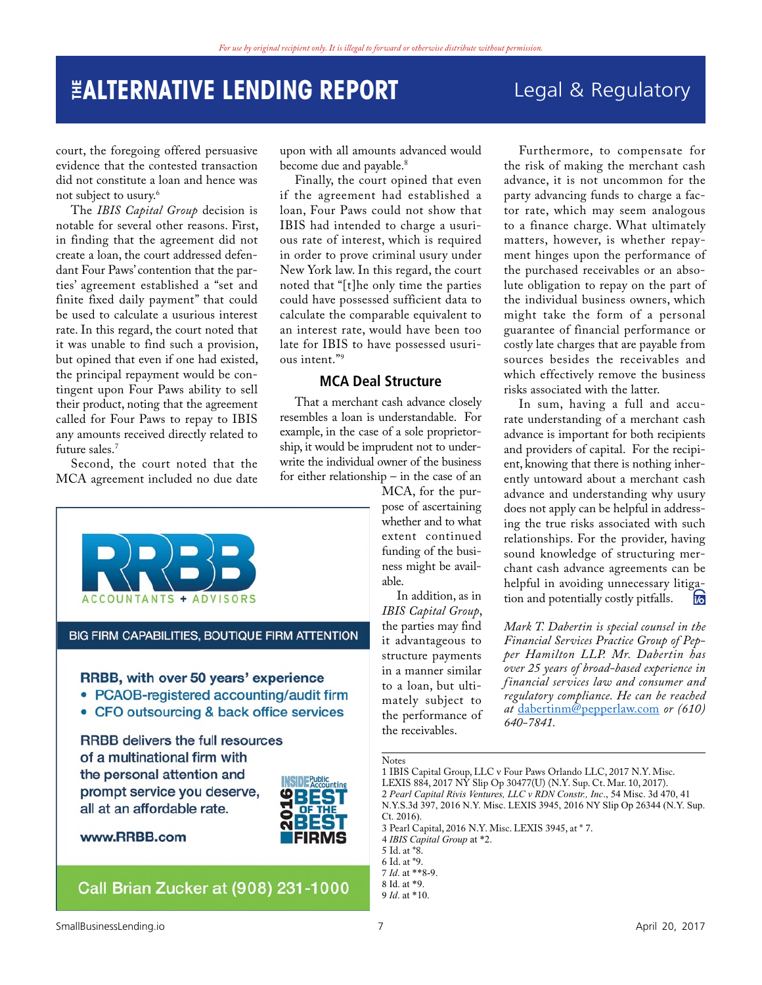Legal & Regulatory

Furthermore, to compensate for the risk of making the merchant cash advance, it is not uncommon for the party advancing funds to charge a factor rate, which may seem analogous to a finance charge. What ultimately matters, however, is whether repay-

court, the foregoing offered persuasive evidence that the contested transaction did not constitute a loan and hence was not subject to usury.<sup>6</sup>

The *IBIS Capital Group* decision is notable for several other reasons. First, in finding that the agreement did not create a loan, the court addressed defendant Four Paws' contention that the parties' agreement established a "set and finite fixed daily payment" that could be used to calculate a usurious interest rate. In this regard, the court noted that it was unable to find such a provision, but opined that even if one had existed, the principal repayment would be contingent upon Four Paws ability to sell their product, noting that the agreement called for Four Paws to repay to IBIS any amounts received directly related to future sales[.7](#page-6-6)

Second, the court noted that the MCA agreement included no due date upon with all amounts advanced would become due and payable.<sup>[8](#page-6-7)</sup>

Finally, the court opined that even if the agreement had established a loan, Four Paws could not show that IBIS had intended to charge a usurious rate of interest, which is required in order to prove criminal usury under New York law. In this regard, the court noted that "[t]he only time the parties could have possessed sufficient data to calculate the comparable equivalent to an interest rate, would have been too late for IBIS to have possessed usurious intent."[9](#page-6-8)

#### **MCA Deal Structure**

That a merchant cash advance closely resembles a loan is understandable. For example, in the case of a sole proprietorship, it would be imprudent not to underwrite the individual owner of the business for either relationship – in the case of an

**ACCOUNTANTS + ADVISORS** 

#### BIG FIRM CAPABILITIES, BOUTIQUE FIRM ATTENTION

#### RRBB, with over 50 years' experience

- PCAOB-registered accounting/audit firm
- CFO outsourcing & back office services

**RRBB** delivers the full resources of a multinational firm with the personal attention and prompt service you deserve, all at an affordable rate.



www.RRBB.com

### Call Brian Zucker at (908) 231-1000

ment hinges upon the performance of the purchased receivables or an absolute obligation to repay on the part of the individual business owners, which might take the form of a personal guarantee of financial performance or costly late charges that are payable from sources besides the receivables and which effectively remove the business risks associated with the latter. In sum, having a full and accurate understanding of a merchant cash advance is important for both recipients and providers of capital. For the recipient, knowing that there is nothing inherently untoward about a merchant cash advance and understanding why usury

MCA, for the purpose of ascertaining whether and to what extent continued funding of the business might be available. does not apply can be helpful in addressing the true risks associated with such relationships. For the provider, having sound knowledge of structuring merchant cash advance agreements can be helpful in avoiding unnecessary litigation and potentially costly pitfalls.

In addition, as in *IBIS Capital Group*, the parties may find it advantageous to structure payments in a manner similar to a loan, but ultimately subject to the performance of the receivables.

*Mark T. Dabertin is special counsel in the Financial Services Practice Group of Pepper Hamilton LLP. Mr. Dabertin has over 25 years of broad-based experience in financial services law and consumer and regulatory compliance. He can be reached at* [dabertinm@pepperlaw.com](mailto:dabertinm@pepperlaw.com) *or (610) 640-7841.*

Notes

<span id="page-6-4"></span>5 Id. at \*8.

<span id="page-6-1"></span><span id="page-6-0"></span><sup>1</sup> [IBIS Capital Group, LLC v Four Paws Orlando LLC, 2017 N.Y. Misc.](https://advance.lexis.com/api/document/collection/cases/id/5N4F-YV51-F04J-80D2-00000-00?context=1000516)  [LEXIS 884, 2017 NY Slip Op 30477\(U\) \(N.Y. Sup. Ct. Mar. 10, 2017\)](https://advance.lexis.com/api/document/collection/cases/id/5N4F-YV51-F04J-80D2-00000-00?context=1000516). 2 *Pearl Capital Rivis Ventures, LLC v RDN Constr., Inc*., 54 Misc. 3d 470, 41 N.Y.S.3d 397, 2016 N.Y. Misc. LEXIS 3945, 2016 NY Slip Op 26344 (N.Y. Sup. Ct. 2016). 3 Pearl Capital, 2016 N.Y. Misc. LEXIS 3945, at \* 7.

<span id="page-6-3"></span><span id="page-6-2"></span><sup>4</sup> *IBIS Capital Group* at \*2.

<span id="page-6-5"></span><sup>6</sup> Id. at \*9.

<span id="page-6-6"></span><sup>7</sup> *Id*. at \*\*8-9.

<span id="page-6-7"></span><sup>8</sup> Id. at \*9.

<span id="page-6-8"></span><sup>9</sup> *Id*. at \*10.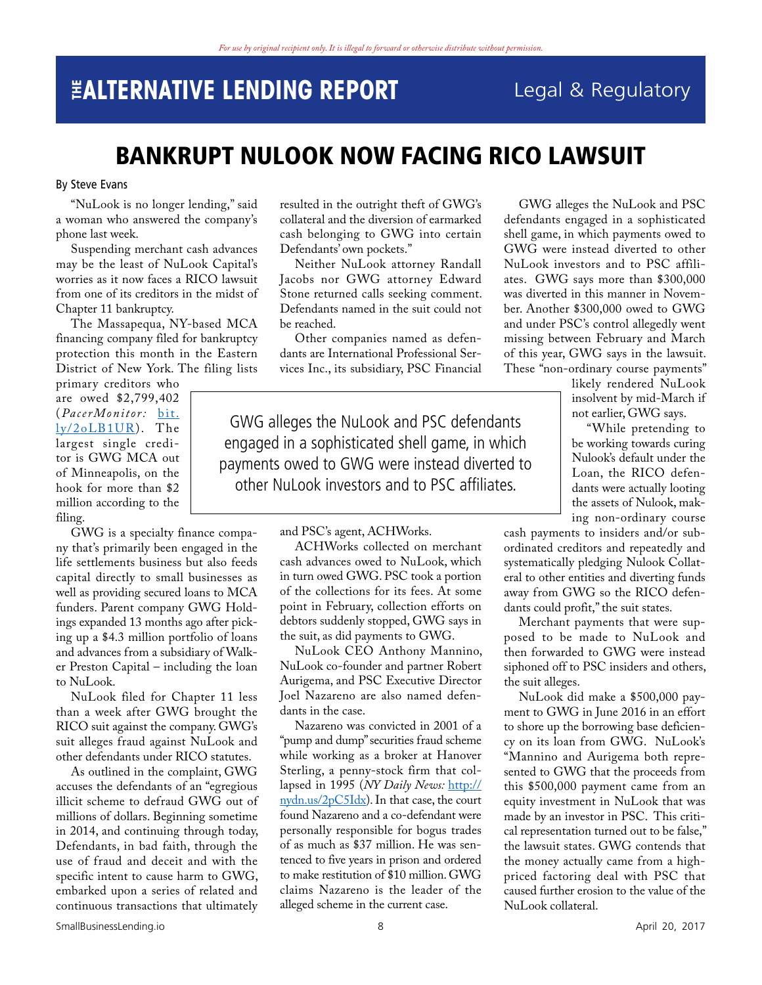### <span id="page-7-0"></span>**THE ALTERNATIVE LENDING REPORT** Legal & Regulatory

### BANKRUPT NULOOK NOW FACING RICO LAWSUIT

#### By Steve Evans

"NuLook is no longer lending," said a woman who answered the company's phone last week.

Suspending merchant cash advances may be the least of NuLook Capital's worries as it now faces a RICO lawsuit from one of its creditors in the midst of Chapter 11 bankruptcy.

The Massapequa, NY-based MCA financing company filed for bankruptcy protection this month in the Eastern District of New York. The filing lists

primary creditors who are owed \$2,799,402 (*PacerMonitor:* [bit.](http://bit.ly/2oLB1UR) [ly/2oLB1UR\)](http://bit.ly/2oLB1UR). The largest single creditor is GWG MCA out of Minneapolis, on the hook for more than \$2 million according to the filing.

GWG is a specialty finance company that's primarily been engaged in the life settlements business but also feeds capital directly to small businesses as well as providing secured loans to MCA funders. Parent company GWG Holdings expanded 13 months ago after picking up a \$4.3 million portfolio of loans and advances from a subsidiary of Walker Preston Capital – including the loan to NuLook.

NuLook filed for Chapter 11 less than a week after GWG brought the RICO suit against the company. GWG's suit alleges fraud against NuLook and other defendants under RICO statutes.

As outlined in the complaint, GWG accuses the defendants of an "egregious illicit scheme to defraud GWG out of millions of dollars. Beginning sometime in 2014, and continuing through today, Defendants, in bad faith, through the use of fraud and deceit and with the specific intent to cause harm to GWG, embarked upon a series of related and continuous transactions that ultimately resulted in the outright theft of GWG's collateral and the diversion of earmarked cash belonging to GWG into certain Defendants' own pockets."

Neither NuLook attorney Randall Jacobs nor GWG attorney Edward Stone returned calls seeking comment. Defendants named in the suit could not be reached.

Other companies named as defendants are International Professional Services Inc., its subsidiary, PSC Financial

GWG alleges the NuLook and PSC defendants engaged in a sophisticated shell game, in which payments owed to GWG were instead diverted to other NuLook investors and to PSC affiliates.

> ACHWorks collected on merchant cash advances owed to NuLook, which in turn owed GWG. PSC took a portion of the collections for its fees. At some point in February, collection efforts on debtors suddenly stopped, GWG says in the suit, as did payments to GWG.

> NuLook CEO Anthony Mannino, NuLook co-founder and partner Robert Aurigema, and PSC Executive Director Joel Nazareno are also named defen-

> Nazareno was convicted in 2001 of a "pump and dump" securities fraud scheme while working as a broker at Hanover Sterling, a penny-stock firm that collapsed in 1995 (*NY Daily News:* [http://](http://nydn.us/2pC5Idx) [nydn.us/2pC5Idx](http://nydn.us/2pC5Idx)). In that case, the court found Nazareno and a co-defendant were personally responsible for bogus trades of as much as \$37 million. He was sentenced to five years in prison and ordered to make restitution of \$10 million. GWG claims Nazareno is the leader of the alleged scheme in the current case.

and PSC's agent, ACHWorks.

dants in the case.

GWG alleges the NuLook and PSC defendants engaged in a sophisticated shell game, in which payments owed to GWG were instead diverted to other NuLook investors and to PSC affiliates. GWG says more than \$300,000 was diverted in this manner in November. Another \$300,000 owed to GWG and under PSC's control allegedly went missing between February and March of this year, GWG says in the lawsuit. These "non-ordinary course payments"

likely rendered NuLook insolvent by mid-March if not earlier, GWG says.

"While pretending to be working towards curing Nulook's default under the Loan, the RICO defendants were actually looting the assets of Nulook, making non-ordinary course

cash payments to insiders and/or subordinated creditors and repeatedly and systematically pledging Nulook Collateral to other entities and diverting funds away from GWG so the RICO defendants could profit," the suit states.

Merchant payments that were supposed to be made to NuLook and then forwarded to GWG were instead siphoned off to PSC insiders and others, the suit alleges.

NuLook did make a \$500,000 payment to GWG in June 2016 in an effort to shore up the borrowing base deficiency on its loan from GWG. NuLook's "Mannino and Aurigema both represented to GWG that the proceeds from this \$500,000 payment came from an equity investment in NuLook that was made by an investor in PSC. This critical representation turned out to be false," the lawsuit states. GWG contends that the money actually came from a highpriced factoring deal with PSC that caused further erosion to the value of the NuLook collateral.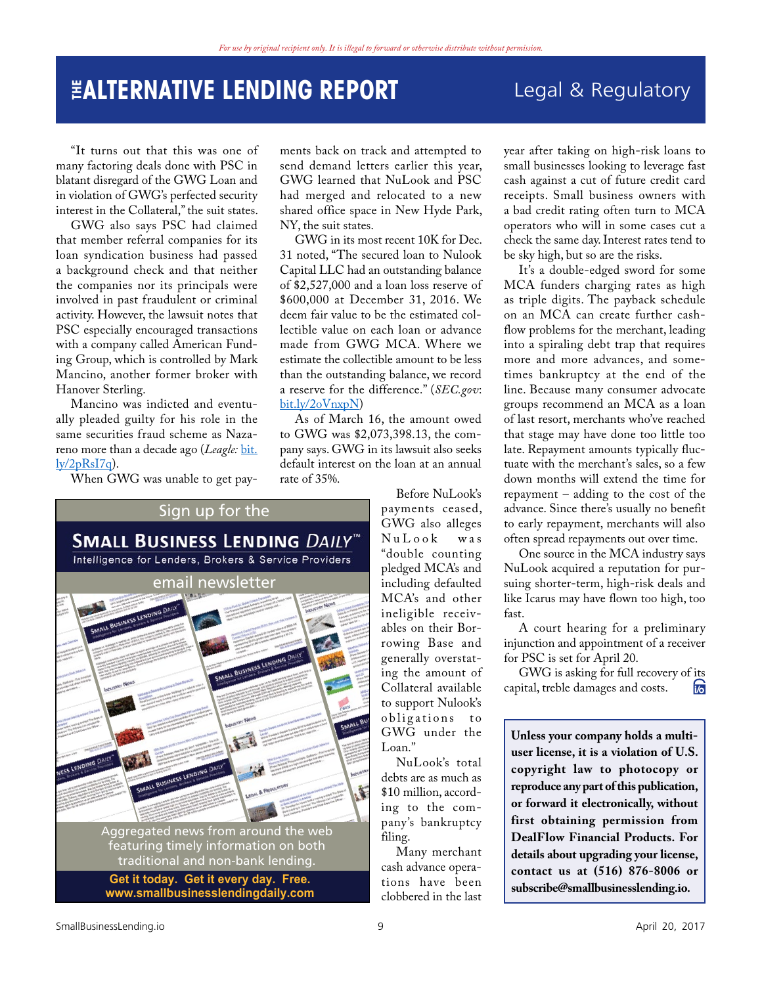### **THE ALTERNATIVE LENDING REPORT** Legal & Regulatory

"It turns out that this was one of many factoring deals done with PSC in blatant disregard of the GWG Loan and in violation of GWG's perfected security interest in the Collateral," the suit states.

GWG also says PSC had claimed that member referral companies for its loan syndication business had passed a background check and that neither the companies nor its principals were involved in past fraudulent or criminal activity. However, the lawsuit notes that PSC especially encouraged transactions with a company called American Funding Group, which is controlled by Mark Mancino, another former broker with Hanover Sterling.

Mancino was indicted and eventually pleaded guilty for his role in the same securities fraud scheme as Nazareno more than a decade ago (*Leagle*: [bit.](http://bit.ly/2pRsI7q)  $\frac{1}{\frac{V}{2pRsI7q}}$ .

When GWG was unable to get pay-

ments back on track and attempted to send demand letters earlier this year, GWG learned that NuLook and PSC had merged and relocated to a new shared office space in New Hyde Park, NY, the suit states.

GWG in its most recent 10K for Dec. 31 noted, "The secured loan to Nulook Capital LLC had an outstanding balance of \$2,527,000 and a loan loss reserve of \$600,000 at December 31, 2016. We deem fair value to be the estimated collectible value on each loan or advance made from GWG MCA. Where we estimate the collectible amount to be less than the outstanding balance, we record a reserve for the difference." (*SEC.gov*: [bit.ly/2oVnxpN\)](http://bit.ly/2oVnxpN)

As of March 16, the amount owed to GWG was \$2,073,398.13, the company says. GWG in its lawsuit also seeks default interest on the loan at an annual rate of 35%.



Before NuLook's payments ceased, GWG also alleges  $N u L o o k$ "double counting pledged MCA's and including defaulted MCA's and other ineligible receivables on their Borrowing Base and generally overstating the amount of Collateral available to support Nulook's obligations to GWG under the Loan."

NuLook's total debts are as much as \$10 million, according to the company's bankruptcy filing.

Many merchant cash advance operations have been clobbered in the last

year after taking on high-risk loans to small businesses looking to leverage fast cash against a cut of future credit card receipts. Small business owners with a bad credit rating often turn to MCA operators who will in some cases cut a check the same day. Interest rates tend to be sky high, but so are the risks.

It's a double-edged sword for some MCA funders charging rates as high as triple digits. The payback schedule on an MCA can create further cashflow problems for the merchant, leading into a spiraling debt trap that requires more and more advances, and sometimes bankruptcy at the end of the line. Because many consumer advocate groups recommend an MCA as a loan of last resort, merchants who've reached that stage may have done too little too late. Repayment amounts typically fluctuate with the merchant's sales, so a few down months will extend the time for repayment – adding to the cost of the advance. Since there's usually no benefit to early repayment, merchants will also often spread repayments out over time.

One source in the MCA industry says NuLook acquired a reputation for pursuing shorter-term, high-risk deals and like Icarus may have flown too high, too fast.

A court hearing for a preliminary injunction and appointment of a receiver for PSC is set for April 20.

GWG is asking for full recovery of its bital, treble damages and costs. capital, treble damages and costs.

**Unless your company holds a multiuser license, it is a violation of U.S. copyright law to photocopy or reproduce any part of this publication, or forward it electronically, without first obtaining permission from DealFlow Financial Products. For details about upgrading your license, contact us at (516) 876-8006 or subscribe@smallbusinesslending.io.**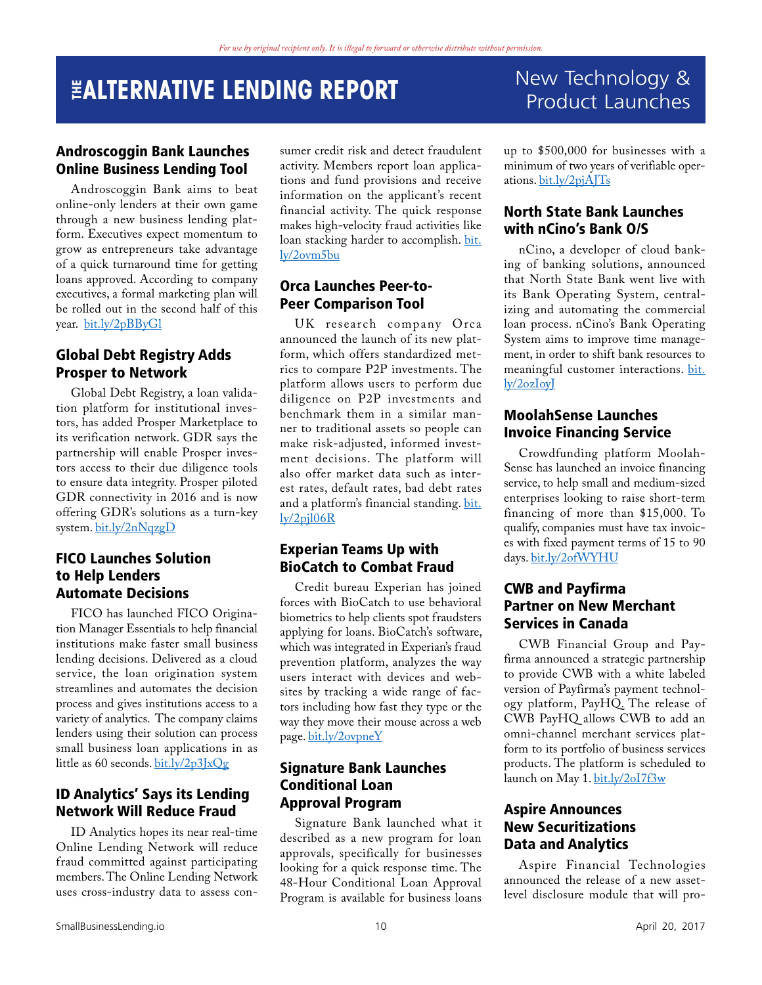## <span id="page-9-0"></span>**THE ALTERNATIVE LENDING REPORT** New Technology &

### Androscoggin Bank Launches Online Business Lending Tool

Androscoggin Bank aims to beat online-only lenders at their own game through a new business lending platform. Executives expect momentum to grow as entrepreneurs take advantage of a quick turnaround time for getting loans approved. According to company executives, a formal marketing plan will be rolled out in the second half of this year. [bit.ly/2pBByGl](http://bit.ly/2pBByGl)

### Global Debt Registry Adds Prosper to Network

Global Debt Registry, a loan validation platform for institutional investors, has added Prosper Marketplace to its verification network. GDR says the partnership will enable Prosper investors access to their due diligence tools to ensure data integrity. Prosper piloted GDR connectivity in 2016 and is now offering GDR's solutions as a turn-key system. [bit.ly/2nNqzgD](http://bit.ly/2nNqzgD)

#### FICO Launches Solution to Help Lenders Automate Decisions

FICO has launched FICO Origination Manager Essentials to help financial institutions make faster small business lending decisions. Delivered as a cloud service, the loan origination system streamlines and automates the decision process and gives institutions access to a variety of analytics. The company claims lenders using their solution can process small business loan applications in as little as 60 seconds. [bit.ly/2p3JxQg](http://bit.ly/2p3JxQg)

### ID Analytics' Says its Lending Network Will Reduce Fraud

ID Analytics hopes its near real-time Online Lending Network will reduce fraud committed against participating members. The Online Lending Network uses cross-industry data to assess consumer credit risk and detect fraudulent activity. Members report loan applications and fund provisions and receive information on the applicant's recent financial activity. The quick response makes high-velocity fraud activities like loan stacking harder to accomplish. [bit.](http://bit.ly/2ovm5bu
) [ly/2ovm5bu](http://bit.ly/2ovm5bu
)

### Orca Launches Peer-to-Peer Comparison Tool

UK research company Orca announced the launch of its new platform, which offers standardized metrics to compare P2P investments. The platform allows users to perform due diligence on P2P investments and benchmark them in a similar manner to traditional assets so people can make risk-adjusted, informed investment decisions. The platform will also offer market data such as interest rates, default rates, bad debt rates and a platform's financial standing. [bit.](http://bit.ly/2pjl06R) [ly/2pjl06R](http://bit.ly/2pjl06R)

#### Experian Teams Up with BioCatch to Combat Fraud

Credit bureau Experian has joined forces with BioCatch to use behavioral biometrics to help clients spot fraudsters applying for loans. BioCatch's software, which was integrated in Experian's fraud prevention platform, analyzes the way users interact with devices and websites by tracking a wide range of factors including how fast they type or the way they move their mouse across a web page. [bit.ly/2ovpneY](http://bit.ly/2ovpneY)

#### Signature Bank Launches Conditional Loan Approval Program

Signature Bank launched what it described as a new program for loan approvals, specifically for businesses looking for a quick response time. The 48-Hour Conditional Loan Approval Program is available for business loans

# Product Launches

up to \$500,000 for businesses with a minimum of two years of verifiable operations. [bit.ly/2pjAJTs](http://bit.ly/2pjAJTs)

### North State Bank Launches with nCino's Bank O/S

nCino, a developer of cloud banking of banking solutions, announced that North State Bank went live with its Bank Operating System, centralizing and automating the commercial loan process. nCino's Bank Operating System aims to improve time management, in order to shift bank resources to meaningful customer interactions. [bit.](http://bit.ly/2ozIoyJ
) [ly/2ozIoyJ](http://bit.ly/2ozIoyJ
)

#### MoolahSense Launches Invoice Financing Service

Crowdfunding platform Moolah-Sense has launched an invoice financing service, to help small and medium-sized enterprises looking to raise short-term financing of more than \$15,000. To qualify, companies must have tax invoices with fixed payment terms of 15 to 90 days. [bit.ly/2ofWYHU](http://bit.ly/2ofWYHU)

### CWB and Payfirma Partner on New Merchant Services in Canada

CWB Financial Group and Payfirma announced a strategic partnership to provide CWB with a white labeled version of Payfirma's payment technology platform, PayHQ. The release of CWB PayHQ allows CWB to add an omni-channel merchant services platform to its portfolio of business services products. The platform is scheduled to launch on May 1. [bit.ly/2oI7f3w](http://bit.ly/2oI7f3w)

#### Aspire Announces New Securitizations Data and Analytics

Aspire Financial Technologies announced the release of a new assetlevel disclosure module that will pro-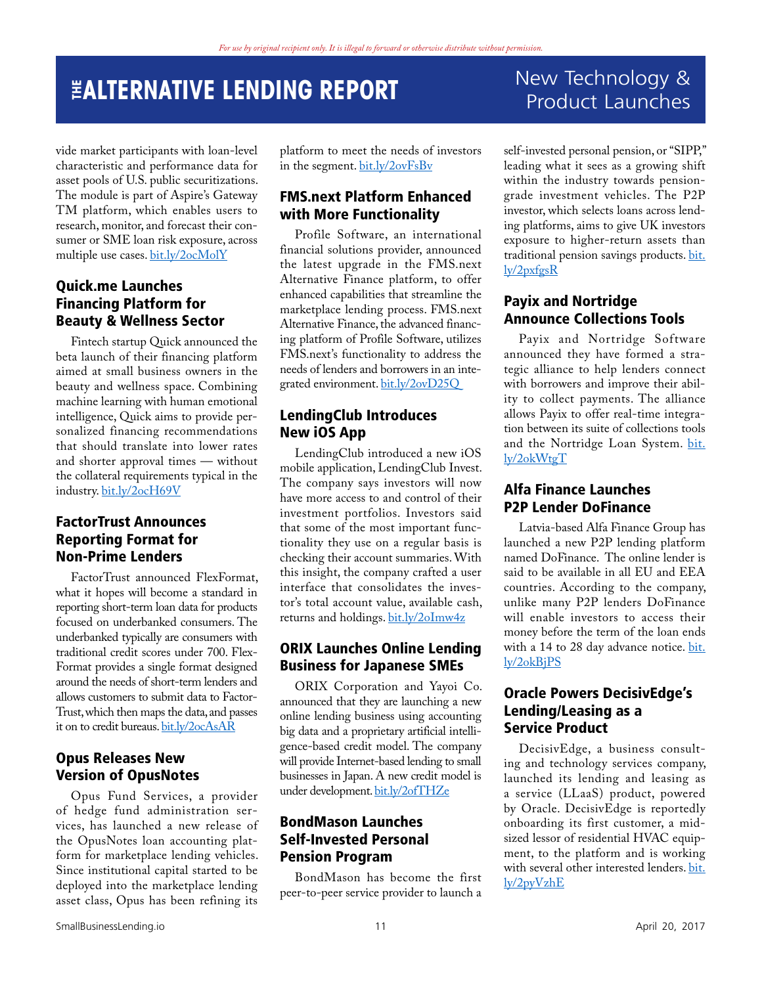vide market participants with loan-level characteristic and performance data for asset pools of U.S. public securitizations. The module is part of Aspire's Gateway TM platform, which enables users to research, monitor, and forecast their consumer or SME loan risk exposure, across multiple use cases. [bit.ly/2ocMolY](http://bit.ly/2ocMolY)

### Quick.me Launches Financing Platform for Beauty & Wellness Sector

Fintech startup Quick announced the beta launch of their financing platform aimed at small business owners in the beauty and wellness space. Combining machine learning with human emotional intelligence, Quick aims to provide personalized financing recommendations that should translate into lower rates and shorter approval times — without the collateral requirements typical in the industry. [bit.ly/2ocH69V](http://bit.ly/2ocH69V)

### FactorTrust Announces Reporting Format for Non-Prime Lenders

FactorTrust announced FlexFormat, what it hopes will become a standard in reporting short-term loan data for products focused on underbanked consumers. The underbanked typically are consumers with traditional credit scores under 700. Flex-Format provides a single format designed around the needs of short-term lenders and allows customers to submit data to Factor-Trust, which then maps the data, and passes it on to credit bureaus. [bit.ly/2ocAsAR](http://bit.ly/2ocAsAR)

### Opus Releases New Version of OpusNotes

Opus Fund Services, a provider of hedge fund administration services, has launched a new release of the OpusNotes loan accounting platform for marketplace lending vehicles. Since institutional capital started to be deployed into the marketplace lending asset class, Opus has been refining its

platform to meet the needs of investors in the segment. [bit.ly/2ovFsBv](http://bit.ly/2ovFsBv)

### FMS.next Platform Enhanced with More Functionality

Profile Software, an international financial solutions provider, announced the latest upgrade in the FMS.next Alternative Finance platform, to offer enhanced capabilities that streamline the marketplace lending process. FMS.next Alternative Finance, the advanced financing platform of Profile Software, utilizes FMS.next's functionality to address the needs of lenders and borrowers in an integrated environment. [bit.ly/2ovD25Q](http://bit.ly/2ovD25Q)

### LendingClub Introduces New iOS App

LendingClub introduced a new iOS mobile application, LendingClub Invest. The company says investors will now have more access to and control of their investment portfolios. Investors said that some of the most important functionality they use on a regular basis is checking their account summaries. With this insight, the company crafted a user interface that consolidates the investor's total account value, available cash, returns and holdings. [bit.ly/2oImw4z](http://bit.ly/2oImw4z)

#### ORIX Launches Online Lending Business for Japanese SMEs

ORIX Corporation and Yayoi Co. announced that they are launching a new online lending business using accounting big data and a proprietary artificial intelligence-based credit model. The company will provide Internet-based lending to small businesses in Japan. A new credit model is under development. [bit.ly/2ofTHZe](http://bit.ly/2ofTHZe)

### BondMason Launches Self-Invested Personal Pension Program

BondMason has become the first peer-to-peer service provider to launch a

### New Technology & Product Launches

self-invested personal pension, or "SIPP," leading what it sees as a growing shift within the industry towards pensiongrade investment vehicles. The P2P investor, which selects loans across lending platforms, aims to give UK investors exposure to higher-return assets than traditional pension savings products. [bit.](http://bit.ly/2pxfgsR) [ly/2pxfgsR](http://bit.ly/2pxfgsR)

### Payix and Nortridge Announce Collections Tools

Payix and Nortridge Software announced they have formed a strategic alliance to help lenders connect with borrowers and improve their ability to collect payments. The alliance allows Payix to offer real-time integration between its suite of collections tools and the Nortridge Loan System. [bit.](http://bit.ly/2okWtgT) [ly/2okWtgT](http://bit.ly/2okWtgT) 

### Alfa Finance Launches P2P Lender DoFinance

Latvia-based Alfa Finance Group has launched a new P2P lending platform named DoFinance. The online lender is said to be available in all EU and EEA countries. According to the company, unlike many P2P lenders DoFinance will enable investors to access their money before the term of the loan ends with a 14 to 28 day advance notice. [bit.](http://bit.ly/2okBjPS) [ly/2okBjPS](http://bit.ly/2okBjPS)

#### Oracle Powers DecisivEdge's Lending/Leasing as a Service Product

DecisivEdge, a business consulting and technology services company, launched its lending and leasing as a service (LLaaS) product, powered by Oracle. DecisivEdge is reportedly onboarding its first customer, a midsized lessor of residential HVAC equipment, to the platform and is working with several other interested lenders. [bit.](http://bit.ly/2pyVzhE) [ly/2pyVzhE](http://bit.ly/2pyVzhE)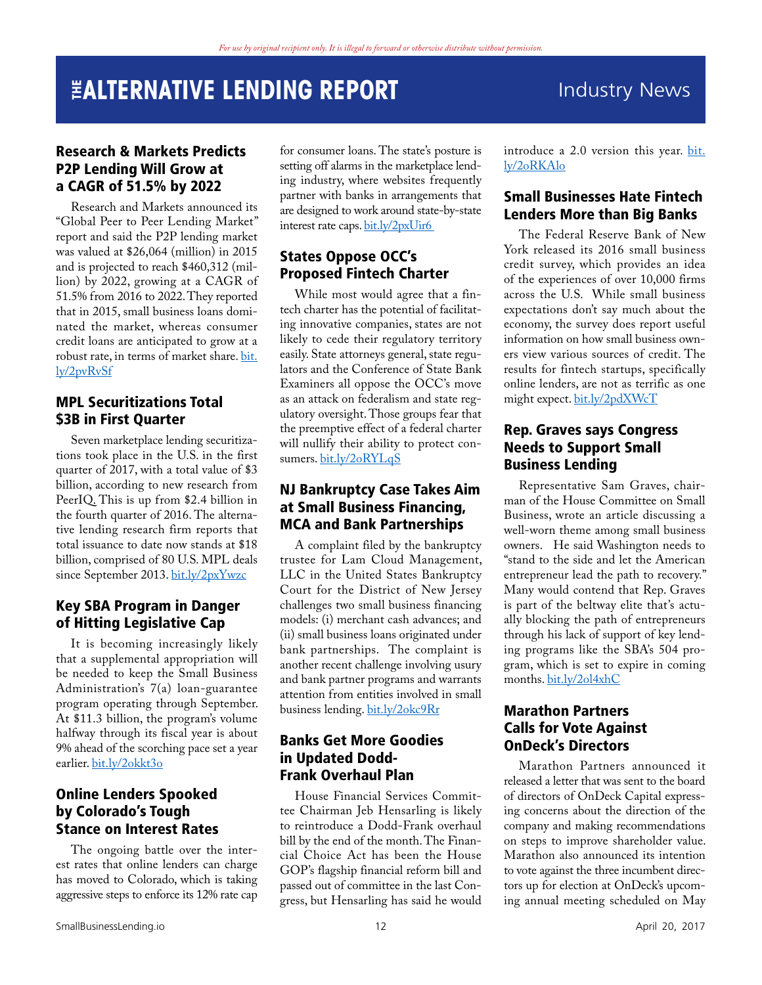### <span id="page-11-0"></span>Research & Markets Predicts P2P Lending Will Grow at a CAGR of 51.5% by 2022

Research and Markets announced its "Global Peer to Peer Lending Market" report and said the P2P lending market was valued at \$26,064 (million) in 2015 and is projected to reach \$460,312 (million) by 2022, growing at a CAGR of 51.5% from 2016 to 2022. They reported that in 2015, small business loans dominated the market, whereas consumer credit loans are anticipated to grow at a robust rate, in terms of market share. [bit.](http://bit.ly/2pvRvSf) [ly/2pvRvSf](http://bit.ly/2pvRvSf)

### MPL Securitizations Total \$3B in First Quarter

Seven marketplace lending securitizations took place in the U.S. in the first quarter of 2017, with a total value of \$3 billion, according to new research from PeerIQ. This is up from \$2.4 billion in the fourth quarter of 2016. The alternative lending research firm reports that total issuance to date now stands at \$18 billion, comprised of 80 U.S. MPL deals since September 2013. [bit.ly/2pxYwzc](http://bit.ly/2pxYwzc)

### Key SBA Program in Danger of Hitting Legislative Cap

It is becoming increasingly likely that a supplemental appropriation will be needed to keep the Small Business Administration's 7(a) loan-guarantee program operating through September. At \$11.3 billion, the program's volume halfway through its fiscal year is about 9% ahead of the scorching pace set a year earlier. [bit.ly/2okkt3o](http://bit.ly/2okkt3o)

#### Online Lenders Spooked by Colorado's Tough Stance on Interest Rates

The ongoing battle over the interest rates that online lenders can charge has moved to Colorado, which is taking aggressive steps to enforce its 12% rate cap

for consumer loans. The state's posture is setting off alarms in the marketplace lending industry, where websites frequently partner with banks in arrangements that are designed to work around state-by-state interest rate caps. [bit.ly/2pxUir6](http://bit.ly/2pxUir6) 

### States Oppose OCC's Proposed Fintech Charter

While most would agree that a fintech charter has the potential of facilitating innovative companies, states are not likely to cede their regulatory territory easily. State attorneys general, state regulators and the Conference of State Bank Examiners all oppose the OCC's move as an attack on federalism and state regulatory oversight. Those groups fear that the preemptive effect of a federal charter will nullify their ability to protect consumers. [bit.ly/2oRYLqS](http://bit.ly/2oRYLqS)

### NJ Bankruptcy Case Takes Aim at Small Business Financing, MCA and Bank Partnerships

A complaint filed by the bankruptcy trustee for Lam Cloud Management, LLC in the United States Bankruptcy Court for the District of New Jersey challenges two small business financing models: (i) merchant cash advances; and (ii) small business loans originated under bank partnerships. The complaint is another recent challenge involving usury and bank partner programs and warrants attention from entities involved in small business lending. [bit.ly/2okc9Rr](http://bit.ly/2okc9Rr)

### Banks Get More Goodies in Updated Dodd-Frank Overhaul Plan

House Financial Services Committee Chairman Jeb Hensarling is likely to reintroduce a Dodd-Frank overhaul bill by the end of the month. The Financial Choice Act has been the House GOP's flagship financial reform bill and passed out of committee in the last Congress, but Hensarling has said he would

introduce a 2.0 version this year. [bit.](http://bit.ly/2oRKAlo) [ly/2oRKAlo](http://bit.ly/2oRKAlo)

### Small Businesses Hate Fintech Lenders More than Big Banks

The Federal Reserve Bank of New York released its 2016 small business credit survey, which provides an idea of the experiences of over 10,000 firms across the U.S. While small business expectations don't say much about the economy, the survey does report useful information on how small business owners view various sources of credit. The results for fintech startups, specifically online lenders, are not as terrific as one might expect. [bit.ly/2pdXWcT](http://bit.ly/2pdXWcT)

### Rep. Graves says Congress Needs to Support Small Business Lending

Representative Sam Graves, chairman of the House Committee on Small Business, wrote an article discussing a well-worn theme among small business owners. He said Washington needs to "stand to the side and let the American entrepreneur lead the path to recovery." Many would contend that Rep. Graves is part of the beltway elite that's actually blocking the path of entrepreneurs through his lack of support of key lending programs like the SBA's 504 program, which is set to expire in coming months. [bit.ly/2ol4xhC](http://bit.ly/2ol4xhC)

### Marathon Partners Calls for Vote Against OnDeck's Directors

Marathon Partners announced it released a letter that was sent to the board of directors of OnDeck Capital expressing concerns about the direction of the company and making recommendations on steps to improve shareholder value. Marathon also announced its intention to vote against the three incumbent directors up for election at OnDeck's upcoming annual meeting scheduled on May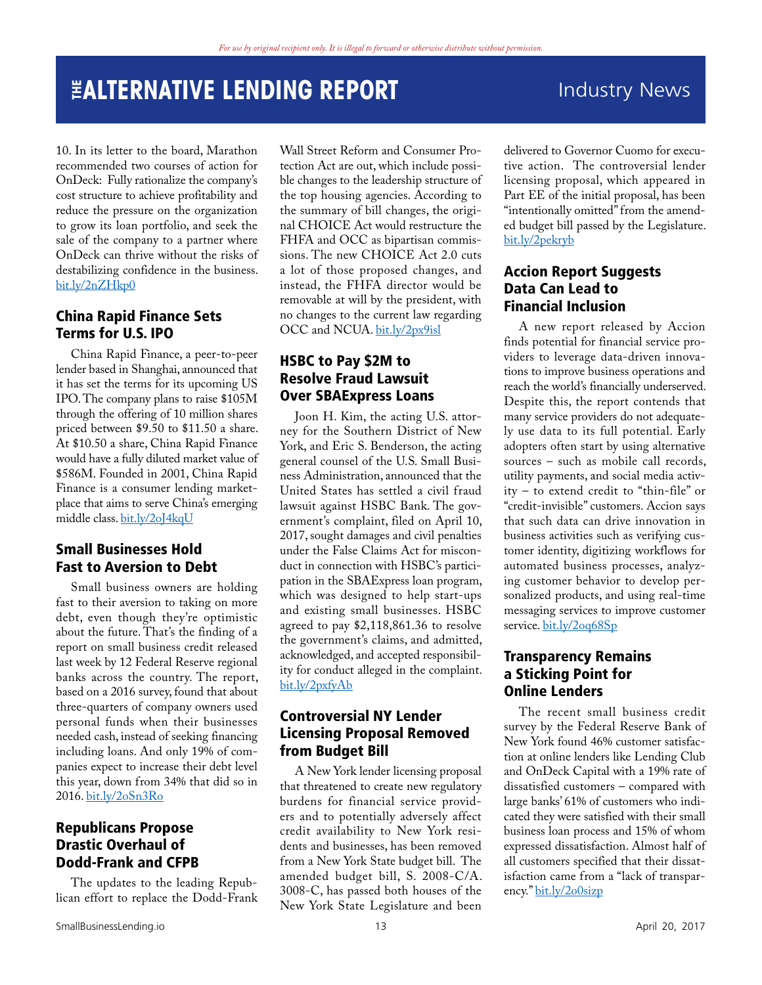### **THE SET OF STATIVE LENDING REPORT THE SET OF ALL Industry News**

10. In its letter to the board, Marathon recommended two courses of action for OnDeck: Fully rationalize the company's cost structure to achieve profitability and reduce the pressure on the organization to grow its loan portfolio, and seek the sale of the company to a partner where OnDeck can thrive without the risks of destabilizing confidence in the business. [bit.ly/2nZHkp0](http://bit.ly/2nZHkp0) 

### China Rapid Finance Sets Terms for U.S. IPO

China Rapid Finance, a peer-to-peer lender based in Shanghai, announced that it has set the terms for its upcoming US IPO. The company plans to raise \$105M through the offering of 10 million shares priced between \$9.50 to \$11.50 a share. At \$10.50 a share, China Rapid Finance would have a fully diluted market value of \$586M. Founded in 2001, China Rapid Finance is a consumer lending marketplace that aims to serve China's emerging middle class. [bit.ly/2oJ4kqU](http://bit.ly/2oJ4kqU)

### Small Businesses Hold Fast to Aversion to Debt

Small business owners are holding fast to their aversion to taking on more debt, even though they're optimistic about the future. That's the finding of a report on small business credit released last week by 12 Federal Reserve regional banks across the country. The report, based on a 2016 survey, found that about three-quarters of company owners used personal funds when their businesses needed cash, instead of seeking financing including loans. And only 19% of companies expect to increase their debt level this year, down from 34% that did so in 2016. [bit.ly/2oSn3Ro](http://bit.ly/2oSn3Ro)

### Republicans Propose Drastic Overhaul of Dodd-Frank and CFPB

The updates to the leading Republican effort to replace the Dodd-Frank

Wall Street Reform and Consumer Protection Act are out, which include possible changes to the leadership structure of the top housing agencies. According to the summary of bill changes, the original CHOICE Act would restructure the FHFA and OCC as bipartisan commissions. The new CHOICE Act 2.0 cuts a lot of those proposed changes, and instead, the FHFA director would be removable at will by the president, with no changes to the current law regarding OCC and NCUA. [bit.ly/2px9isl](http://bit.ly/2px9isl)

### HSBC to Pay \$2M to Resolve Fraud Lawsuit Over SBAExpress Loans

Joon H. Kim, the acting U.S. attorney for the Southern District of New York, and Eric S. Benderson, the acting general counsel of the U.S. Small Business Administration, announced that the United States has settled a civil fraud lawsuit against HSBC Bank. The government's complaint, filed on April 10, 2017, sought damages and civil penalties under the False Claims Act for misconduct in connection with HSBC's participation in the SBAExpress loan program, which was designed to help start-ups and existing small businesses. HSBC agreed to pay \$2,118,861.36 to resolve the government's claims, and admitted, acknowledged, and accepted responsibility for conduct alleged in the complaint. [bit.ly/2pxfyAb](http://bit.ly/2pxfyAb)

### Controversial NY Lender Licensing Proposal Removed from Budget Bill

A New York lender licensing proposal that threatened to create new regulatory burdens for financial service providers and to potentially adversely affect credit availability to New York residents and businesses, has been removed from a New York State budget bill. The amended budget bill, S. 2008-C/A. 3008-C, has passed both houses of the New York State Legislature and been delivered to Governor Cuomo for executive action. The controversial lender licensing proposal, which appeared in Part EE of the initial proposal, has been "intentionally omitted" from the amended budget bill passed by the Legislature. [bit.ly/2pekryb](http://bit.ly/2pekryb) 

### Accion Report Suggests Data Can Lead to Financial Inclusion

A new report released by Accion finds potential for financial service providers to leverage data-driven innovations to improve business operations and reach the world's financially underserved. Despite this, the report contends that many service providers do not adequately use data to its full potential. Early adopters often start by using alternative sources – such as mobile call records, utility payments, and social media activity – to extend credit to "thin-file" or "credit-invisible" customers. Accion says that such data can drive innovation in business activities such as verifying customer identity, digitizing workflows for automated business processes, analyzing customer behavior to develop personalized products, and using real-time messaging services to improve customer service. [bit.ly/2oq68Sp](http://bit.ly/2oq68Sp)

### Transparency Remains a Sticking Point for Online Lenders

The recent small business credit survey by the Federal Reserve Bank of New York found 46% customer satisfaction at online lenders like Lending Club and OnDeck Capital with a 19% rate of dissatisfied customers – compared with large banks' 61% of customers who indicated they were satisfied with their small business loan process and 15% of whom expressed dissatisfaction. Almost half of all customers specified that their dissatisfaction came from a "lack of transparency." [bit.ly/2o0sizp](http://bit.ly/2o0sizp)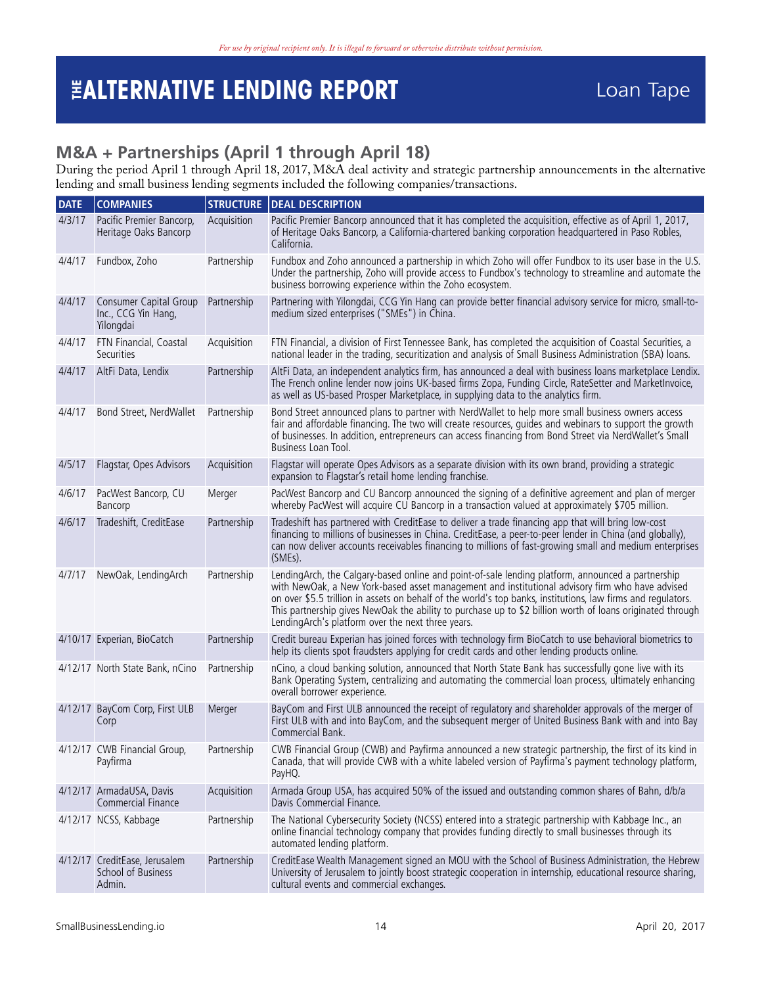### <span id="page-13-0"></span>**M&A + Partnerships (April 1 through April 18)**

During the period April 1 through April 18, 2017, M&A deal activity and strategic partnership announcements in the alternative lending and small business lending segments included the following companies/transactions.

| <b>COMPANIES</b>                                              | <b>STRUCTURE</b> | <b>DEAL DESCRIPTION</b>                                                                                                                                                                                                                                                                                                                                                                                                                                                                |
|---------------------------------------------------------------|------------------|----------------------------------------------------------------------------------------------------------------------------------------------------------------------------------------------------------------------------------------------------------------------------------------------------------------------------------------------------------------------------------------------------------------------------------------------------------------------------------------|
| Pacific Premier Bancorp,<br>Heritage Oaks Bancorp             | Acquisition      | Pacific Premier Bancorp announced that it has completed the acquisition, effective as of April 1, 2017,<br>of Heritage Oaks Bancorp, a California-chartered banking corporation headquartered in Paso Robles,<br>California.                                                                                                                                                                                                                                                           |
| Fundbox, Zoho                                                 | Partnership      | Fundbox and Zoho announced a partnership in which Zoho will offer Fundbox to its user base in the U.S.<br>Under the partnership, Zoho will provide access to Fundbox's technology to streamline and automate the<br>business borrowing experience within the Zoho ecosystem.                                                                                                                                                                                                           |
| Consumer Capital Group<br>Inc., CCG Yin Hang,<br>Yilongdai    | Partnership      | Partnering with Yilongdai, CCG Yin Hang can provide better financial advisory service for micro, small-to-<br>medium sized enterprises ("SMEs") in China.                                                                                                                                                                                                                                                                                                                              |
| FTN Financial, Coastal<br>Securities                          | Acquisition      | FTN Financial, a division of First Tennessee Bank, has completed the acquisition of Coastal Securities, a<br>national leader in the trading, securitization and analysis of Small Business Administration (SBA) loans.                                                                                                                                                                                                                                                                 |
| AltFi Data, Lendix                                            | Partnership      | AltFi Data, an independent analytics firm, has announced a deal with business loans marketplace Lendix.<br>The French online lender now joins UK-based firms Zopa, Funding Circle, RateSetter and MarketInvoice,<br>as well as US-based Prosper Marketplace, in supplying data to the analytics firm.                                                                                                                                                                                  |
| Bond Street, NerdWallet                                       | Partnership      | Bond Street announced plans to partner with NerdWallet to help more small business owners access<br>fair and affordable financing. The two will create resources, guides and webinars to support the growth<br>of businesses. In addition, entrepreneurs can access financing from Bond Street via NerdWallet's Small<br>Business Loan Tool.                                                                                                                                           |
| Flagstar, Opes Advisors                                       | Acquisition      | Flagstar will operate Opes Advisors as a separate division with its own brand, providing a strategic<br>expansion to Flagstar's retail home lending franchise.                                                                                                                                                                                                                                                                                                                         |
| PacWest Bancorp, CU<br>Bancorp                                | Merger           | PacWest Bancorp and CU Bancorp announced the signing of a definitive agreement and plan of merger<br>whereby PacWest will acquire CU Bancorp in a transaction valued at approximately \$705 million.                                                                                                                                                                                                                                                                                   |
| Tradeshift, CreditEase                                        | Partnership      | Tradeshift has partnered with CreditEase to deliver a trade financing app that will bring low-cost<br>financing to millions of businesses in China. CreditEase, a peer-to-peer lender in China (and globally),<br>can now deliver accounts receivables financing to millions of fast-growing small and medium enterprises<br>(SMEs).                                                                                                                                                   |
| NewOak, LendingArch                                           | Partnership      | LendingArch, the Calgary-based online and point-of-sale lending platform, announced a partnership<br>with NewOak, a New York-based asset management and institutional advisory firm who have advised<br>on over \$5.5 trillion in assets on behalf of the world's top banks, institutions, law firms and regulators.<br>This partnership gives NewOak the ability to purchase up to \$2 billion worth of loans originated through<br>LendingArch's platform over the next three years. |
| 4/10/17 Experian, BioCatch                                    | Partnership      | Credit bureau Experian has joined forces with technology firm BioCatch to use behavioral biometrics to<br>help its clients spot fraudsters applying for credit cards and other lending products online.                                                                                                                                                                                                                                                                                |
| 4/12/17 North State Bank, nCino                               | Partnership      | nCino, a cloud banking solution, announced that North State Bank has successfully gone live with its<br>Bank Operating System, centralizing and automating the commercial loan process, ultimately enhancing<br>overall borrower experience.                                                                                                                                                                                                                                           |
| 4/12/17 BayCom Corp, First ULB<br>Corp                        | Merger           | BayCom and First ULB announced the receipt of regulatory and shareholder approvals of the merger of<br>First ULB with and into BayCom, and the subsequent merger of United Business Bank with and into Bay<br>Commercial Bank.                                                                                                                                                                                                                                                         |
| 4/12/17 CWB Financial Group,<br>Payfirma                      | Partnership      | CWB Financial Group (CWB) and Payfirma announced a new strategic partnership, the first of its kind in<br>Canada, that will provide CWB with a white labeled version of Payfirma's payment technology platform,<br>PayHQ.                                                                                                                                                                                                                                                              |
| 4/12/17 ArmadaUSA, Davis<br>Commercial Finance                | Acquisition      | Armada Group USA, has acquired 50% of the issued and outstanding common shares of Bahn, d/b/a<br>Davis Commercial Finance.                                                                                                                                                                                                                                                                                                                                                             |
| 4/12/17 NCSS, Kabbage                                         | Partnership      | The National Cybersecurity Society (NCSS) entered into a strategic partnership with Kabbage Inc., an<br>online financial technology company that provides funding directly to small businesses through its<br>automated lending platform.                                                                                                                                                                                                                                              |
| 4/12/17 CreditEase, Jerusalem<br>School of Business<br>Admin. | Partnership      | CreditEase Wealth Management signed an MOU with the School of Business Administration, the Hebrew<br>University of Jerusalem to jointly boost strategic cooperation in internship, educational resource sharing,<br>cultural events and commercial exchanges.                                                                                                                                                                                                                          |
|                                                               |                  |                                                                                                                                                                                                                                                                                                                                                                                                                                                                                        |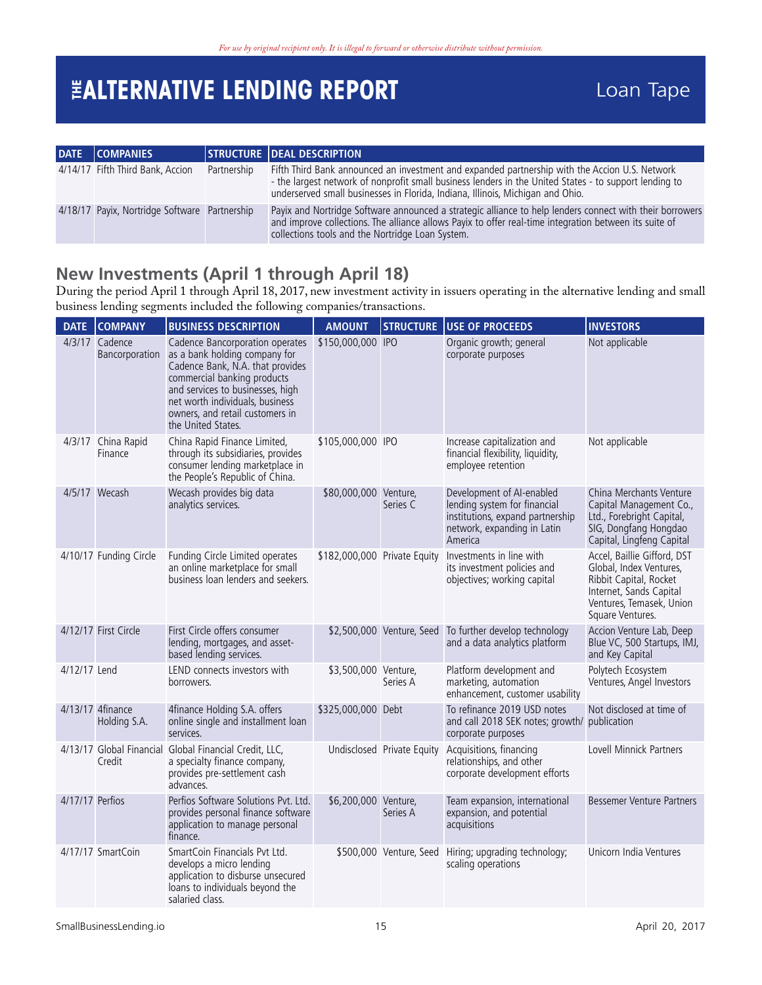<span id="page-14-0"></span>

| DATE COMPANIES                                |             | STRUCTURE DEAL DESCRIPTION                                                                                                                                                                                                                                                                 |
|-----------------------------------------------|-------------|--------------------------------------------------------------------------------------------------------------------------------------------------------------------------------------------------------------------------------------------------------------------------------------------|
| 4/14/17 Fifth Third Bank, Accion              | Partnership | Fifth Third Bank announced an investment and expanded partnership with the Accion U.S. Network<br>- the largest network of nonprofit small business lenders in the United States - to support lending to<br>underserved small businesses in Florida, Indiana, Illinois, Michigan and Ohio. |
| 4/18/17 Payix, Nortridge Software Partnership |             | Payix and Nortridge Software announced a strategic alliance to help lenders connect with their borrowers<br>and improve collections. The alliance allows Payix to offer real-time integration between its suite of<br>collections tools and the Nortridge Loan System.                     |

### **New Investments (April 1 through April 18)**

During the period April 1 through April 18, 2017, new investment activity in issuers operating in the alternative lending and small business lending segments included the following companies/transactions.

| <b>DATE</b>     | <b>COMPANY</b>                   | <b>BUSINESS DESCRIPTION</b>                                                                                                                                                                                                                                         | <b>AMOUNT</b>                | <b>STRUCTURE</b>           | USE OF PROCEEDS                                                                                                                         | <b>INVESTORS</b>                                                                                                                                            |
|-----------------|----------------------------------|---------------------------------------------------------------------------------------------------------------------------------------------------------------------------------------------------------------------------------------------------------------------|------------------------------|----------------------------|-----------------------------------------------------------------------------------------------------------------------------------------|-------------------------------------------------------------------------------------------------------------------------------------------------------------|
|                 | 4/3/17 Cadence<br>Bancorporation | Cadence Bancorporation operates<br>as a bank holding company for<br>Cadence Bank, N.A. that provides<br>commercial banking products<br>and services to businesses, high<br>net worth individuals, business<br>owners, and retail customers in<br>the United States. | \$150,000,000 IPO            |                            | Organic growth; general<br>corporate purposes                                                                                           | Not applicable                                                                                                                                              |
|                 | 4/3/17 China Rapid<br>Finance    | China Rapid Finance Limited,<br>through its subsidiaries, provides<br>consumer lending marketplace in<br>the People's Republic of China.                                                                                                                            | \$105,000,000 IPO            |                            | Increase capitalization and<br>financial flexibility, liquidity,<br>employee retention                                                  | Not applicable                                                                                                                                              |
|                 | 4/5/17 Wecash                    | Wecash provides big data<br>analytics services.                                                                                                                                                                                                                     | \$80,000,000 Venture,        | Series C                   | Development of AI-enabled<br>lending system for financial<br>institutions, expand partnership<br>network, expanding in Latin<br>America | China Merchants Venture<br>Capital Management Co.,<br>Ltd., Forebright Capital,<br>SIG, Dongfang Hongdao<br>Capital, Lingfeng Capital                       |
|                 | 4/10/17 Funding Circle           | Funding Circle Limited operates<br>an online marketplace for small<br>business loan lenders and seekers.                                                                                                                                                            | \$182,000,000 Private Equity |                            | Investments in line with<br>its investment policies and<br>objectives; working capital                                                  | Accel, Baillie Gifford, DST<br>Global, Index Ventures,<br>Ribbit Capital, Rocket<br>Internet, Sands Capital<br>Ventures, Temasek, Union<br>Square Ventures. |
|                 | 4/12/17 First Circle             | First Circle offers consumer<br>lending, mortgages, and asset-<br>based lending services.                                                                                                                                                                           |                              |                            | \$2,500,000 Venture, Seed To further develop technology<br>and a data analytics platform                                                | Accion Venture Lab, Deep<br>Blue VC, 500 Startups, IMJ,<br>and Key Capital                                                                                  |
| 4/12/17 Lend    |                                  | LEND connects investors with<br>borrowers.                                                                                                                                                                                                                          | \$3,500,000 Venture,         | Series A                   | Platform development and<br>marketing, automation<br>enhancement, customer usability                                                    | Polytech Ecosystem<br>Ventures, Angel Investors                                                                                                             |
|                 | 4/13/17 4finance<br>Holding S.A. | 4finance Holding S.A. offers<br>online single and installment loan<br>services.                                                                                                                                                                                     | \$325,000,000 Debt           |                            | To refinance 2019 USD notes<br>and call 2018 SEK notes; growth/ publication<br>corporate purposes                                       | Not disclosed at time of                                                                                                                                    |
|                 | Credit                           | 4/13/17 Global Financial Global Financial Credit, LLC,<br>a specialty finance company,<br>provides pre-settlement cash<br>advances.                                                                                                                                 |                              | Undisclosed Private Equity | Acquisitions, financing<br>relationships, and other<br>corporate development efforts                                                    | Lovell Minnick Partners                                                                                                                                     |
| 4/17/17 Perfios |                                  | Perfios Software Solutions Pvt. Ltd.<br>provides personal finance software<br>application to manage personal<br>finance.                                                                                                                                            | \$6,200,000 Venture,         | Series A                   | Team expansion, international<br>expansion, and potential<br>acquisitions                                                               | Bessemer Venture Partners                                                                                                                                   |
|                 | 4/17/17 SmartCoin                | SmartCoin Financials Pvt Ltd.<br>develops a micro lending<br>application to disburse unsecured<br>loans to individuals beyond the<br>salaried class.                                                                                                                |                              | \$500,000 Venture, Seed    | Hiring; upgrading technology;<br>scaling operations                                                                                     | Unicorn India Ventures                                                                                                                                      |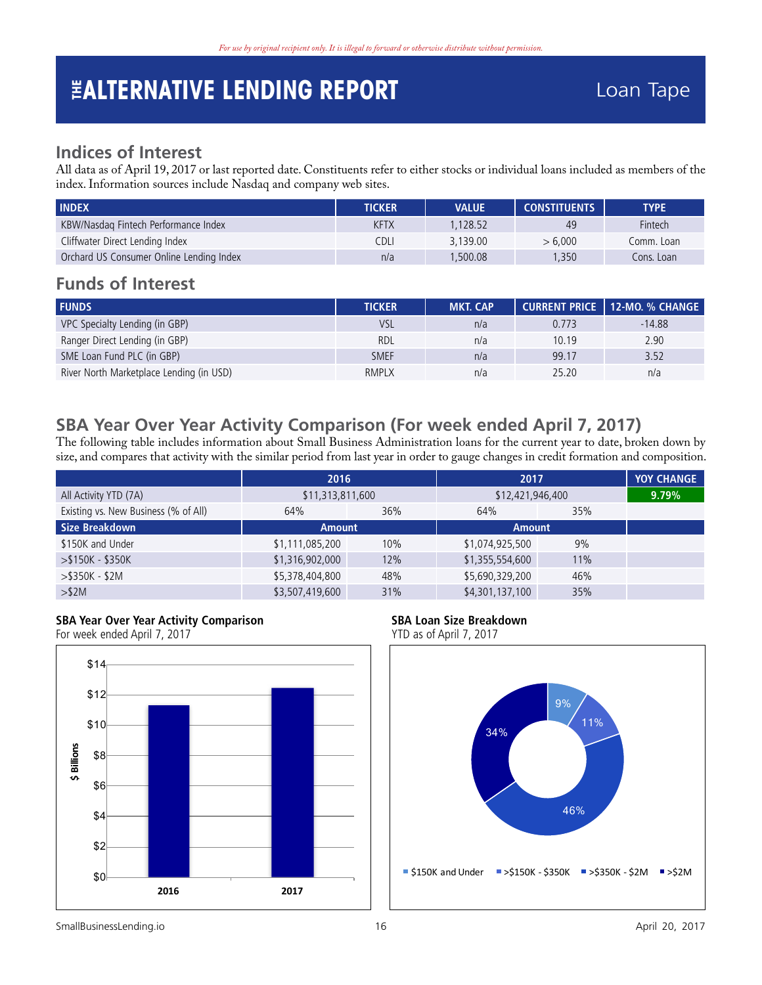### <span id="page-15-0"></span>**Indices of Interest**

All data as of April 19, 2017 or last reported date. Constituents refer to either stocks or individual loans included as members of the index. Information sources include Nasdaq and company web sites.

| <b>INDEX</b>                             | <b>TICKER</b> | <b>VALUE</b> | <b>CONSTITUENTS</b> | <b>TYPE</b>    |
|------------------------------------------|---------------|--------------|---------------------|----------------|
| KBW/Nasdag Fintech Performance Index     | <b>KFTX</b>   | 128.52       | 49                  | <b>Fintech</b> |
| Cliffwater Direct Lending Index          | CDLI          | 3.139.00     | > 6.000             | Comm. Loan     |
| Orchard US Consumer Online Lending Index | n/a           | .500.08      | 1.350               | Cons. Loan     |

### **Funds of Interest**

| <b>FUNDS</b>                             | <b>TICKER</b> | <b>MKT. CAP</b> |       | CURRENT PRICE   12-MO. % CHANGE |
|------------------------------------------|---------------|-----------------|-------|---------------------------------|
| VPC Specialty Lending (in GBP)           | <b>VSL</b>    | n/a             | 0.773 | $-14.88$                        |
| Ranger Direct Lending (in GBP)           | <b>RDL</b>    | n/a             | 10.19 | 2.90                            |
| SME Loan Fund PLC (in GBP)               | <b>SMEF</b>   | n/a             | 99.17 | 3.52                            |
| River North Marketplace Lending (in USD) | <b>RMPLX</b>  | n/a             | 25.20 | n/a                             |

### **SBA Year Over Year Activity Comparison (For week ended April 7, 2017)**

The following table includes information about Small Business Administration loans for the current year to date, broken down by size, and compares that activity with the similar period from last year in order to gauge changes in credit formation and composition.

|                                      | 2016             |     | 2017             |     | <b>YOY CHANGE</b> |
|--------------------------------------|------------------|-----|------------------|-----|-------------------|
| All Activity YTD (7A)                | \$11,313,811,600 |     | \$12,421,946,400 |     | 9.79%             |
| Existing vs. New Business (% of All) | 64%              | 36% | 64%              | 35% |                   |
| <b>Size Breakdown</b>                | <b>Amount</b>    |     | <b>Amount</b>    |     |                   |
| \$150K and Under                     | \$1,111,085,200  | 10% | \$1,074,925,500  | 9%  |                   |
| $> $150K - $350K$                    | \$1,316,902,000  | 12% | \$1,355,554,600  | 11% |                   |
| $>$ \$350K - \$2M                    | \$5,378,404,800  | 48% | \$5,690,329,200  | 46% |                   |
| $>$ \$2M                             | \$3,507,419,600  | 31% | \$4,301,137,100  | 35% |                   |

#### **SBA Year Over Year Activity Comparison**

For week ended April 7, 2017



#### **SBA Loan Size Breakdown**

Fort Countries of April 7, 2017

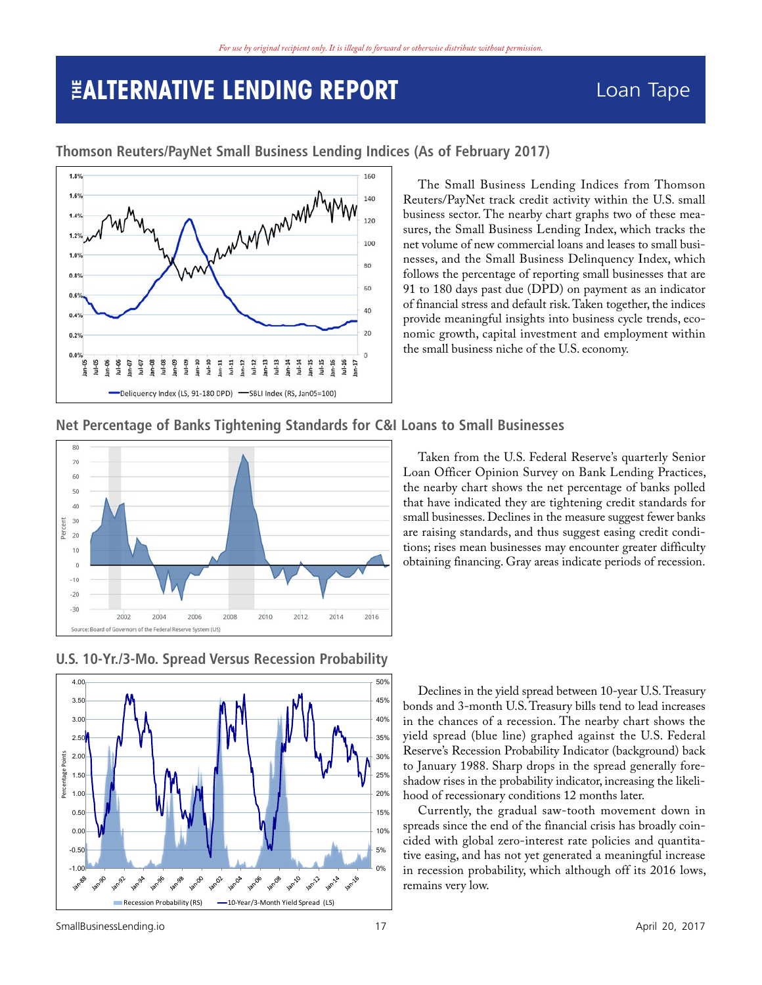

<span id="page-16-0"></span>**Thomson Reuters/PayNet Small Business Lending Indices (As of February 2017)**

The Small Business Lending Indices from Thomson Reuters/PayNet track credit activity within the U.S. small business sector. The nearby chart graphs two of these measures, the Small Business Lending Index, which tracks the net volume of new commercial loans and leases to small businesses, and the Small Business Delinquency Index, which follows the percentage of reporting small businesses that are 91 to 180 days past due (DPD) on payment as an indicator of financial stress and default risk. Taken together, the indices provide meaningful insights into business cycle trends, economic growth, capital investment and employment within the small business niche of the U.S. economy.

### **Net Percentage of Banks Tightening Standards for C&I Loans to Small Businesses**



Taken from the U.S. Federal Reserve's quarterly Senior Loan Officer Opinion Survey on Bank Lending Practices, the nearby chart shows the net percentage of banks polled that have indicated they are tightening credit standards for small businesses. Declines in the measure suggest fewer banks are raising standards, and thus suggest easing credit conditions; rises mean businesses may encounter greater difficulty obtaining financing. Gray areas indicate periods of recession.



### **U.S. 10-Yr./3-Mo. Spread Versus Recession Probability U.S. 10 yr./3-mo. Spread Versus Recession Probability**

Declines in the yield spread between 10-year U.S. Treasury bonds and 3-month U.S. Treasury bills tend to lead increases in the chances of a recession. The nearby chart shows the yield spread (blue line) graphed against the U.S. Federal Reserve's Recession Probability Indicator (background) back to January 1988. Sharp drops in the spread generally foreshadow rises in the probability indicator, increasing the likelihood of recessionary conditions 12 months later.

Currently, the gradual saw-tooth movement down in spreads since the end of the financial crisis has broadly coincided with global zero-interest rate policies and quantitative easing, and has not yet generated a meaningful increase in recession probability, which although off its 2016 lows, remains very low.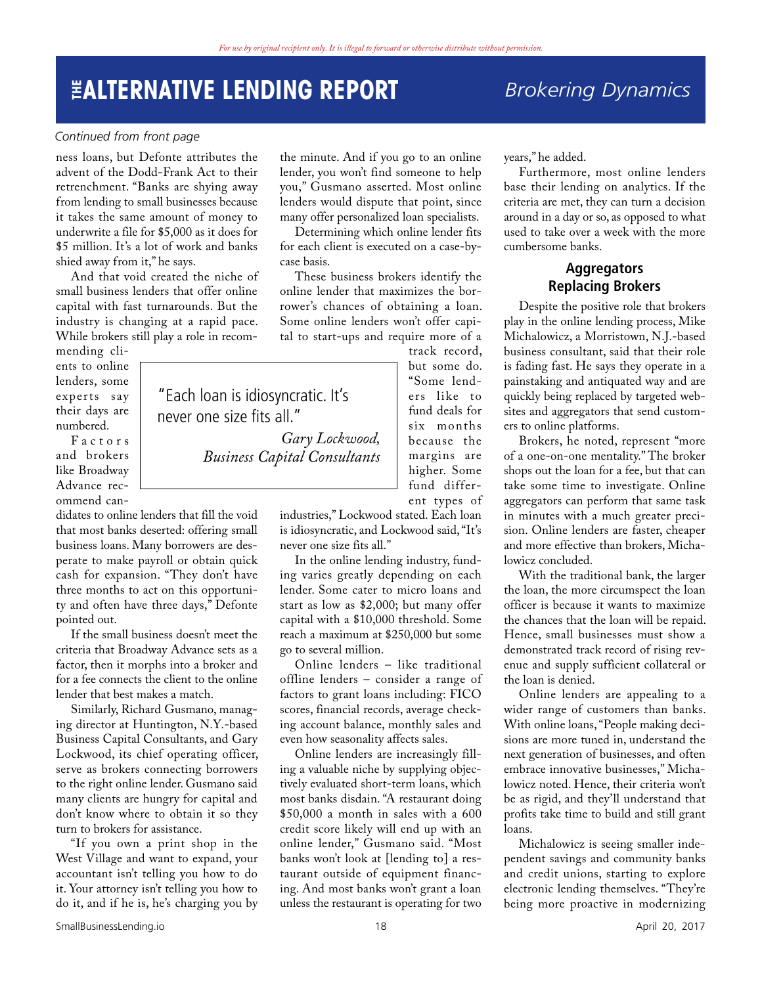"Each loan is idiosyncratic. It's

never one size fits all."

### *Brokering Dynamics*

#### <span id="page-17-0"></span>*Continued from front page*

ness loans, but Defonte attributes the advent of the Dodd-Frank Act to their retrenchment. "Banks are shying away from lending to small businesses because it takes the same amount of money to underwrite a file for \$5,000 as it does for \$5 million. It's a lot of work and banks shied away from it," he says.

And that void created the niche of small business lenders that offer online capital with fast turnarounds. But the industry is changing at a rapid pace. While brokers still play a role in recom-

mending clients to online lenders, some experts say their days are numbered.

F a c t o r s and brokers like Broadway Advance recommend can-

didates to online lenders that fill the void that most banks deserted: offering small business loans. Many borrowers are desperate to make payroll or obtain quick cash for expansion. "They don't have three months to act on this opportunity and often have three days," Defonte pointed out.

If the small business doesn't meet the criteria that Broadway Advance sets as a factor, then it morphs into a broker and for a fee connects the client to the online lender that best makes a match.

Similarly, Richard Gusmano, managing director at Huntington, N.Y.-based Business Capital Consultants, and Gary Lockwood, its chief operating officer, serve as brokers connecting borrowers to the right online lender. Gusmano said many clients are hungry for capital and don't know where to obtain it so they turn to brokers for assistance.

"If you own a print shop in the West Village and want to expand, your accountant isn't telling you how to do it. Your attorney isn't telling you how to do it, and if he is, he's charging you by

the minute. And if you go to an online lender, you won't find someone to help you," Gusmano asserted. Most online lenders would dispute that point, since many offer personalized loan specialists.

Determining which online lender fits for each client is executed on a case-bycase basis.

These business brokers identify the online lender that maximizes the borrower's chances of obtaining a loan. Some online lenders won't offer capital to start-ups and require more of a

track record, but some do. "Some lenders like to fund deals for six months because the margins are higher. Some fund different types of

industries," Lockwood stated. Each loan is idiosyncratic, and Lockwood said, "It's never one size fits all."

*Gary Lockwood,* 

*Business Capital Consultants*

In the online lending industry, funding varies greatly depending on each lender. Some cater to micro loans and start as low as \$2,000; but many offer capital with a \$10,000 threshold. Some reach a maximum at \$250,000 but some go to several million.

Online lenders – like traditional offline lenders – consider a range of factors to grant loans including: FICO scores, financial records, average checking account balance, monthly sales and even how seasonality affects sales.

Online lenders are increasingly filling a valuable niche by supplying objectively evaluated short-term loans, which most banks disdain. "A restaurant doing \$50,000 a month in sales with a 600 credit score likely will end up with an online lender," Gusmano said. "Most banks won't look at [lending to] a restaurant outside of equipment financing. And most banks won't grant a loan unless the restaurant is operating for two

years," he added.

Furthermore, most online lenders base their lending on analytics. If the criteria are met, they can turn a decision around in a day or so, as opposed to what used to take over a week with the more cumbersome banks.

#### **Aggregators Replacing Brokers**

Despite the positive role that brokers play in the online lending process, Mike Michalowicz, a Morristown, N.J.-based business consultant, said that their role is fading fast. He says they operate in a painstaking and antiquated way and are quickly being replaced by targeted websites and aggregators that send customers to online platforms.

Brokers, he noted, represent "more of a one-on-one mentality." The broker shops out the loan for a fee, but that can take some time to investigate. Online aggregators can perform that same task in minutes with a much greater precision. Online lenders are faster, cheaper and more effective than brokers, Michalowicz concluded.

With the traditional bank, the larger the loan, the more circumspect the loan officer is because it wants to maximize the chances that the loan will be repaid. Hence, small businesses must show a demonstrated track record of rising revenue and supply sufficient collateral or the loan is denied.

Online lenders are appealing to a wider range of customers than banks. With online loans, "People making decisions are more tuned in, understand the next generation of businesses, and often embrace innovative businesses," Michalowicz noted. Hence, their criteria won't be as rigid, and they'll understand that profits take time to build and still grant loans.

Michalowicz is seeing smaller independent savings and community banks and credit unions, starting to explore electronic lending themselves. "They're being more proactive in modernizing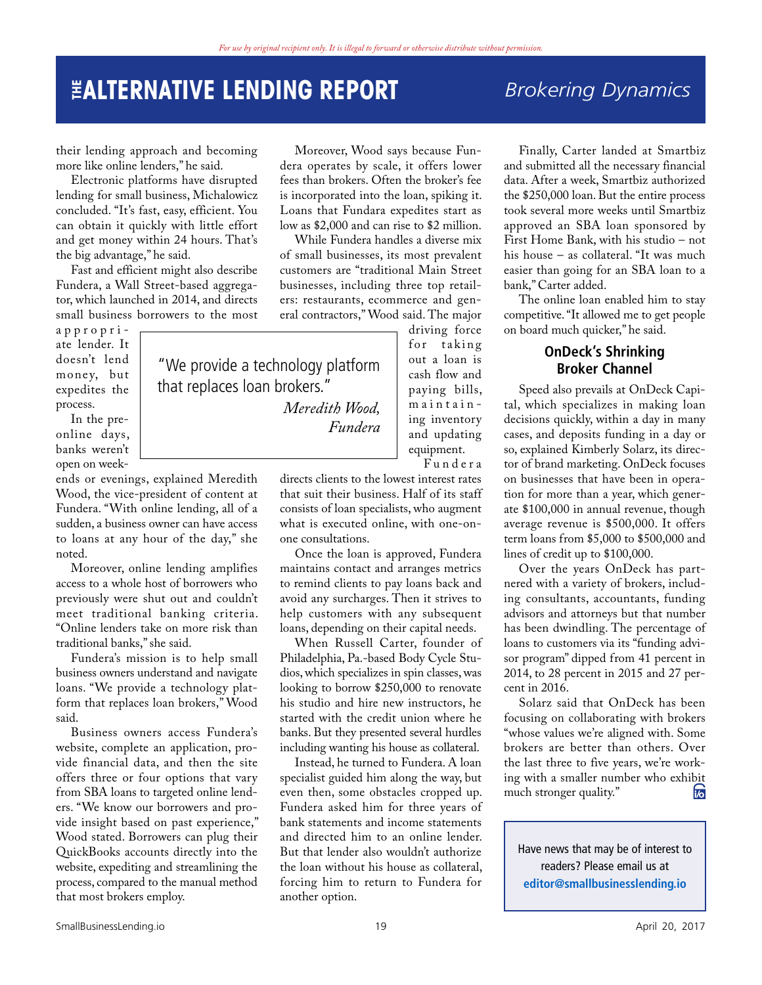### **THE ALTERNATIVE LENDING REPORT** *Brokering Dynamics*

"We provide a technology platform

*Meredith Wood,* 

*Fundera*

that replaces loan brokers."

their lending approach and becoming more like online lenders," he said.

Electronic platforms have disrupted lending for small business, Michalowicz concluded. "It's fast, easy, efficient. You can obtain it quickly with little effort and get money within 24 hours. That's the big advantage," he said.

Fast and efficient might also describe Fundera, a Wall Street-based aggregator, which launched in 2014, and directs small business borrowers to the most

appropri ate lender. It doesn't lend money, but expedites the process.

In the preonline days, banks weren't open on week-

ends or evenings, explained Meredith Wood, the vice-president of content at Fundera. "With online lending, all of a sudden, a business owner can have access to loans at any hour of the day," she noted.

Moreover, online lending amplifies access to a whole host of borrowers who previously were shut out and couldn't meet traditional banking criteria. "Online lenders take on more risk than traditional banks," she said.

Fundera's mission is to help small business owners understand and navigate loans. "We provide a technology platform that replaces loan brokers," Wood said.

Business owners access Fundera's website, complete an application, provide financial data, and then the site offers three or four options that vary from SBA loans to targeted online lenders. "We know our borrowers and provide insight based on past experience," Wood stated. Borrowers can plug their QuickBooks accounts directly into the website, expediting and streamlining the process, compared to the manual method that most brokers employ.

Moreover, Wood says because Fundera operates by scale, it offers lower fees than brokers. Often the broker's fee is incorporated into the loan, spiking it. Loans that Fundara expedites start as low as \$2,000 and can rise to \$2 million.

While Fundera handles a diverse mix of small businesses, its most prevalent customers are "traditional Main Street businesses, including three top retailers: restaurants, ecommerce and general contractors," Wood said. The major

driving force for taking out a loan is cash flow and paying bills, maintain ing inventory and updating equipment.

F u n d e r a

directs clients to the lowest interest rates that suit their business. Half of its staff consists of loan specialists, who augment what is executed online, with one-onone consultations.

Once the loan is approved, Fundera maintains contact and arranges metrics to remind clients to pay loans back and avoid any surcharges. Then it strives to help customers with any subsequent loans, depending on their capital needs.

When Russell Carter, founder of Philadelphia, Pa.-based Body Cycle Studios, which specializes in spin classes, was looking to borrow \$250,000 to renovate his studio and hire new instructors, he started with the credit union where he banks. But they presented several hurdles including wanting his house as collateral.

Instead, he turned to Fundera. A loan specialist guided him along the way, but even then, some obstacles cropped up. Fundera asked him for three years of bank statements and income statements and directed him to an online lender. But that lender also wouldn't authorize the loan without his house as collateral, forcing him to return to Fundera for another option.

Finally, Carter landed at Smartbiz and submitted all the necessary financial data. After a week, Smartbiz authorized the \$250,000 loan. But the entire process took several more weeks until Smartbiz approved an SBA loan sponsored by First Home Bank, with his studio – not his house – as collateral. "It was much easier than going for an SBA loan to a bank," Carter added.

The online loan enabled him to stay competitive. "It allowed me to get people on board much quicker," he said.

#### **OnDeck's Shrinking Broker Channel**

Speed also prevails at OnDeck Capital, which specializes in making loan decisions quickly, within a day in many cases, and deposits funding in a day or so, explained Kimberly Solarz, its director of brand marketing. OnDeck focuses on businesses that have been in operation for more than a year, which generate \$100,000 in annual revenue, though average revenue is \$500,000. It offers term loans from \$5,000 to \$500,000 and lines of credit up to \$100,000.

Over the years OnDeck has partnered with a variety of brokers, including consultants, accountants, funding advisors and attorneys but that number has been dwindling. The percentage of loans to customers via its "funding advisor program" dipped from 41 percent in 2014, to 28 percent in 2015 and 27 percent in 2016.

Solarz said that OnDeck has been focusing on collaborating with brokers "whose values we're aligned with. Some brokers are better than others. Over the last three to five years, we're working with a smaller number who exhibit<br>much stronger quality." much stronger quality."

Have news that may be of interest to readers? Please email us at **<editor@smallbusinesslending.io>**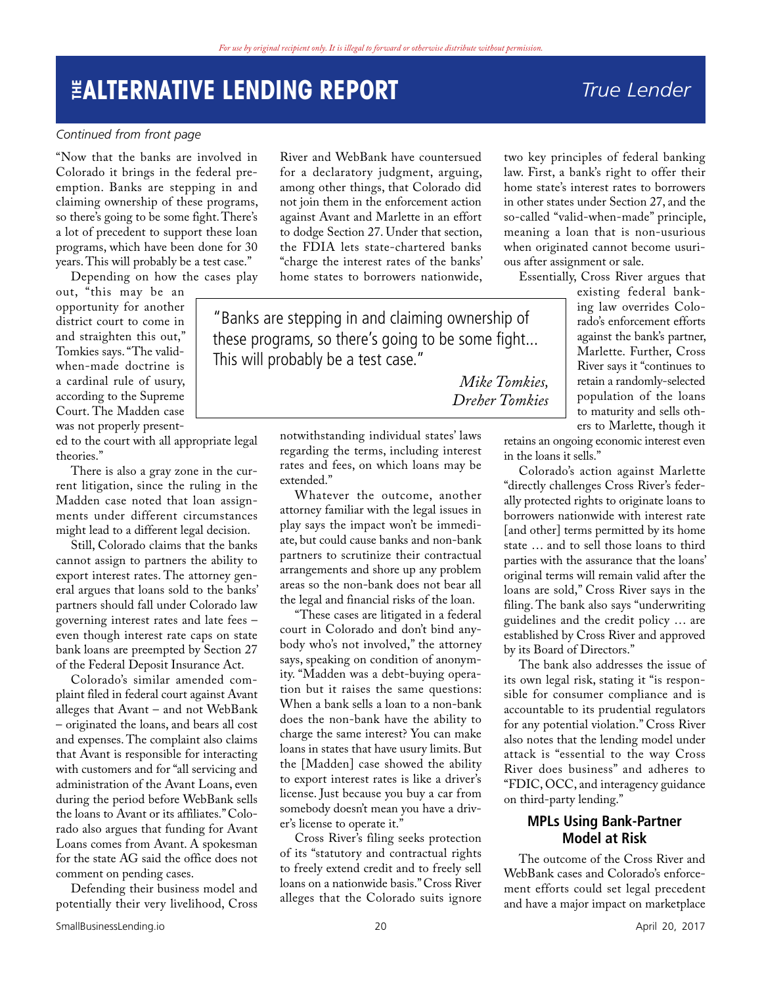### <span id="page-19-0"></span>**THE ALTERNATIVE LENDING REPORT** *True Lender*

#### *Continued from front page*

"Now that the banks are involved in Colorado it brings in the federal preemption. Banks are stepping in and claiming ownership of these programs, so there's going to be some fight. There's a lot of precedent to support these loan programs, which have been done for 30 years. This will probably be a test case."

Depending on how the cases play

out, "this may be an opportunity for another district court to come in and straighten this out," Tomkies says. "The validwhen-made doctrine is a cardinal rule of usury, according to the Supreme Court. The Madden case was not properly present-

ed to the court with all appropriate legal theories."

There is also a gray zone in the current litigation, since the ruling in the Madden case noted that loan assignments under different circumstances might lead to a different legal decision.

Still, Colorado claims that the banks cannot assign to partners the ability to export interest rates. The attorney general argues that loans sold to the banks' partners should fall under Colorado law governing interest rates and late fees – even though interest rate caps on state bank loans are preempted by Section 27 of the Federal Deposit Insurance Act.

Colorado's similar amended complaint filed in federal court against Avant alleges that Avant – and not WebBank – originated the loans, and bears all cost and expenses. The complaint also claims that Avant is responsible for interacting with customers and for "all servicing and administration of the Avant Loans, even during the period before WebBank sells the loans to Avant or its affiliates." Colorado also argues that funding for Avant Loans comes from Avant. A spokesman for the state AG said the office does not comment on pending cases.

Defending their business model and potentially their very livelihood, Cross

River and WebBank have countersued for a declaratory judgment, arguing, among other things, that Colorado did not join them in the enforcement action against Avant and Marlette in an effort to dodge Section 27. Under that section, the FDIA lets state-chartered banks "charge the interest rates of the banks' home states to borrowers nationwide,

"Banks are stepping in and claiming ownership of these programs, so there's going to be some fight... This will probably be a test case."

> *Mike Tomkies, Dreher Tomkies*

notwithstanding individual states' laws regarding the terms, including interest rates and fees, on which loans may be extended.'

Whatever the outcome, another attorney familiar with the legal issues in play says the impact won't be immediate, but could cause banks and non-bank partners to scrutinize their contractual arrangements and shore up any problem areas so the non-bank does not bear all the legal and financial risks of the loan.

"These cases are litigated in a federal court in Colorado and don't bind anybody who's not involved," the attorney says, speaking on condition of anonymity. "Madden was a debt-buying operation but it raises the same questions: When a bank sells a loan to a non-bank does the non-bank have the ability to charge the same interest? You can make loans in states that have usury limits. But the [Madden] case showed the ability to export interest rates is like a driver's license. Just because you buy a car from somebody doesn't mean you have a driver's license to operate it."

Cross River's filing seeks protection of its "statutory and contractual rights to freely extend credit and to freely sell loans on a nationwide basis." Cross River alleges that the Colorado suits ignore

two key principles of federal banking law. First, a bank's right to offer their home state's interest rates to borrowers in other states under Section 27, and the so-called "valid-when-made" principle, meaning a loan that is non-usurious when originated cannot become usurious after assignment or sale.

Essentially, Cross River argues that

existing federal banking law overrides Colorado's enforcement efforts against the bank's partner, Marlette. Further, Cross River says it "continues to retain a randomly-selected population of the loans to maturity and sells others to Marlette, though it

retains an ongoing economic interest even in the loans it sells."

Colorado's action against Marlette "directly challenges Cross River's federally protected rights to originate loans to borrowers nationwide with interest rate [and other] terms permitted by its home state … and to sell those loans to third parties with the assurance that the loans' original terms will remain valid after the loans are sold," Cross River says in the filing. The bank also says "underwriting guidelines and the credit policy … are established by Cross River and approved by its Board of Directors."

The bank also addresses the issue of its own legal risk, stating it "is responsible for consumer compliance and is accountable to its prudential regulators for any potential violation." Cross River also notes that the lending model under attack is "essential to the way Cross River does business" and adheres to "FDIC, OCC, and interagency guidance on third-party lending."

#### **MPLs Using Bank-Partner Model at Risk**

The outcome of the Cross River and WebBank cases and Colorado's enforcement efforts could set legal precedent and have a major impact on marketplace